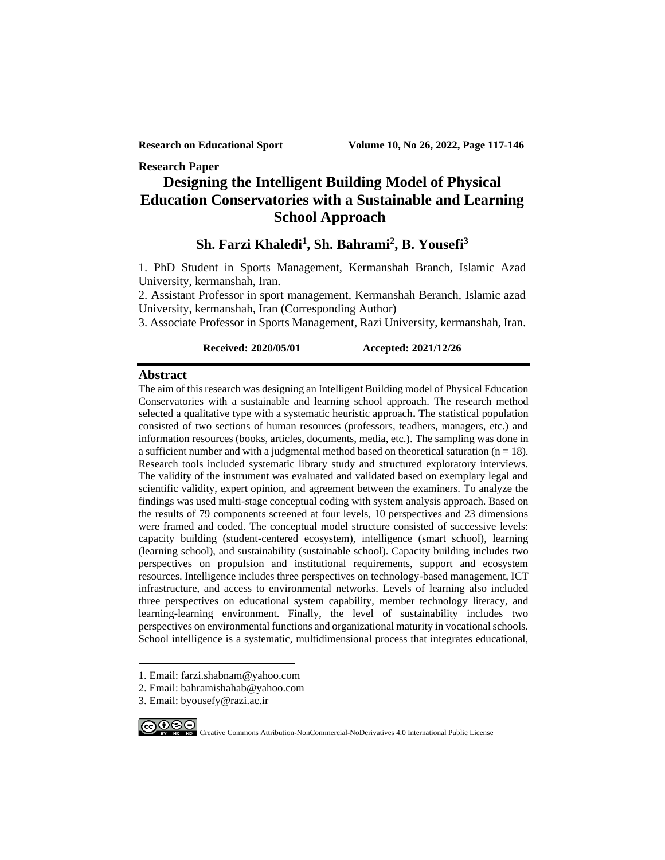**Research Paper**

# **Designing the Intelligent Building Model of Physical Education Conservatories with a Sustainable and Learning School Approach**

# **Sh. Farzi Khaledi<sup>1</sup> , Sh. Bahrami<sup>2</sup> , B. Yousefi<sup>3</sup>**

1. PhD Student in Sports Management, Kermanshah Branch, Islamic Azad University, kermanshah, Iran.

2. Assistant Professor in sport management, Kermanshah Beranch, Islamic azad University, kermanshah, Iran (Corresponding Author)

3. Associate Professor in Sports Management, Razi University, kermanshah, Iran.

#### **Received: 2020/05/01 Accepted: 2021/12/26**

#### **Abstract**

The aim of this research was designing an Intelligent Building model of Physical Education Conservatories with a sustainable and learning school approach. The research method selected a qualitative type with a systematic heuristic approach**.** The statistical population consisted of two sections of human resources (professors, teadhers, managers, etc.) and information resources (books, articles, documents, media, etc.). The sampling was done in a sufficient number and with a judgmental method based on theoretical saturation  $(n = 18)$ . Research tools included systematic library study and structured exploratory interviews. The validity of the instrument was evaluated and validated based on exemplary legal and scientific validity, expert opinion, and agreement between the examiners. To analyze the findings was used multi-stage conceptual coding with system analysis approach. Based on the results of 79 components screened at four levels, 10 perspectives and 23 dimensions were framed and coded. The conceptual model structure consisted of successive levels: capacity building (student-centered ecosystem), intelligence (smart school), learning (learning school), and sustainability (sustainable school). Capacity building includes two perspectives on propulsion and institutional requirements, support and ecosystem resources. Intelligence includes three perspectives on technology-based management, ICT infrastructure, and access to environmental networks. Levels of learning also included three perspectives on educational system capability, member technology literacy, and learning-learning environment. Finally, the level of sustainability includes two perspectives on environmental functions and organizational maturity in vocational schools. School intelligence is a systematic, multidimensional process that integrates educational,

- 1. Email: farzi.shabnam@yahoo.com
- 2. Email: bahramishahab@yahoo.com

<sup>3.</sup> Email: byousefy@razi.ac.ir

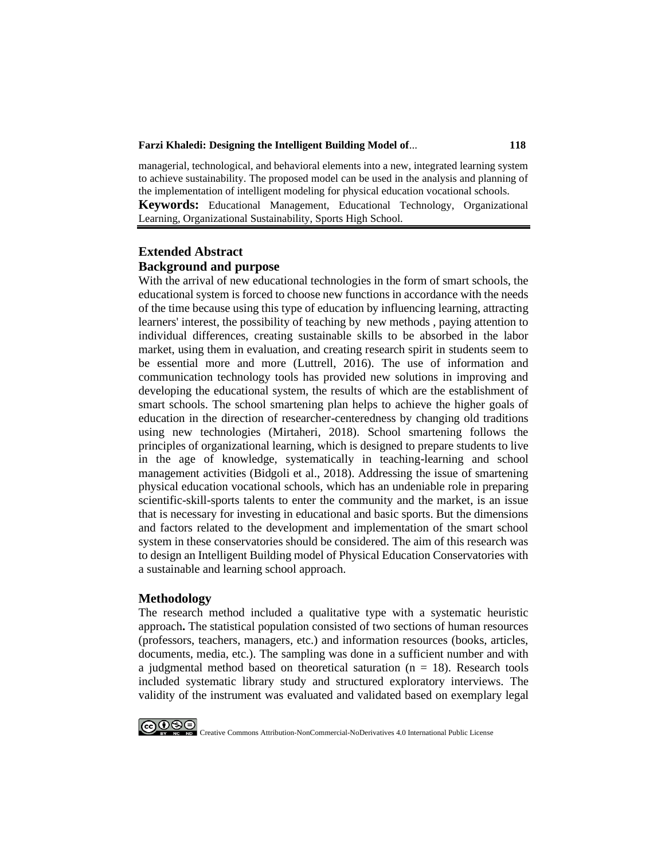#### **Farzi Khaledi: Designing the Intelligent Building Model of**... **118**

managerial, technological, and behavioral elements into a new, integrated learning system to achieve sustainability. The proposed model can be used in the analysis and planning of the implementation of intelligent modeling for physical education vocational schools.

**Keywords:** Educational Management, Educational Technology, Organizational Learning, Organizational Sustainability, Sports High School.

### **Extended Abstract Background and purpose**

With the arrival of new educational technologies in the form of smart schools, the educational system is forced to choose new functions in accordance with the needs of the time because using this type of education by influencing learning, attracting learners' interest, the possibility of teaching by new methods , paying attention to individual differences, creating sustainable skills to be absorbed in the labor market, using them in evaluation, and creating research spirit in students seem to be essential more and more (Luttrell, 2016). The use of information and communication technology tools has provided new solutions in improving and developing the educational system, the results of which are the establishment of smart schools. The school smartening plan helps to achieve the higher goals of education in the direction of researcher-centeredness by changing old traditions using new technologies (Mirtaheri, 2018). School smartening follows the principles of organizational learning, which is designed to prepare students to live in the age of knowledge, systematically in teaching-learning and school management activities (Bidgoli et al., 2018). Addressing the issue of smartening physical education vocational schools, which has an undeniable role in preparing scientific-skill-sports talents to enter the community and the market, is an issue that is necessary for investing in educational and basic sports. But the dimensions and factors related to the development and implementation of the smart school system in these conservatories should be considered. The aim of this research was to design an Intelligent Building model of Physical Education Conservatories with a sustainable and learning school approach.

#### **Methodology**

The research method included a qualitative type with a systematic heuristic approach**.** The statistical population consisted of two sections of human resources (professors, teachers, managers, etc.) and information resources (books, articles, documents, media, etc.). The sampling was done in a sufficient number and with a judgmental method based on theoretical saturation ( $n = 18$ ). Research tools included systematic library study and structured exploratory interviews. The validity of the instrument was evaluated and validated based on exemplary legal

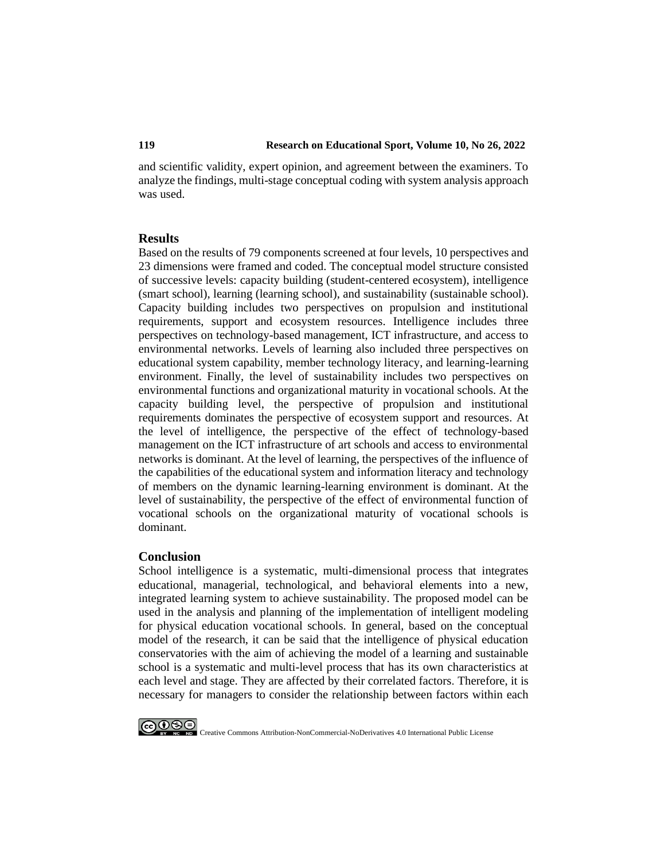and scientific validity, expert opinion, and agreement between the examiners. To analyze the findings, multi-stage conceptual coding with system analysis approach was used.

#### **Results**

Based on the results of 79 components screened at four levels, 10 perspectives and 23 dimensions were framed and coded. The conceptual model structure consisted of successive levels: capacity building (student-centered ecosystem), intelligence (smart school), learning (learning school), and sustainability (sustainable school). Capacity building includes two perspectives on propulsion and institutional requirements, support and ecosystem resources. Intelligence includes three perspectives on technology-based management, ICT infrastructure, and access to environmental networks. Levels of learning also included three perspectives on educational system capability, member technology literacy, and learning-learning environment. Finally, the level of sustainability includes two perspectives on environmental functions and organizational maturity in vocational schools. At the capacity building level, the perspective of propulsion and institutional requirements dominates the perspective of ecosystem support and resources. At the level of intelligence, the perspective of the effect of technology-based management on the ICT infrastructure of art schools and access to environmental networks is dominant. At the level of learning, the perspectives of the influence of the capabilities of the educational system and information literacy and technology of members on the dynamic learning-learning environment is dominant. At the level of sustainability, the perspective of the effect of environmental function of vocational schools on the organizational maturity of vocational schools is dominant.

#### **Conclusion**

School intelligence is a systematic, multi-dimensional process that integrates educational, managerial, technological, and behavioral elements into a new, integrated learning system to achieve sustainability. The proposed model can be used in the analysis and planning of the implementation of intelligent modeling for physical education vocational schools. In general, based on the conceptual model of the research, it can be said that the intelligence of physical education conservatories with the aim of achieving the model of a learning and sustainable school is a systematic and multi-level process that has its own characteristics at each level and stage. They are affected by their correlated factors. Therefore, it is necessary for managers to consider the relationship between factors within each

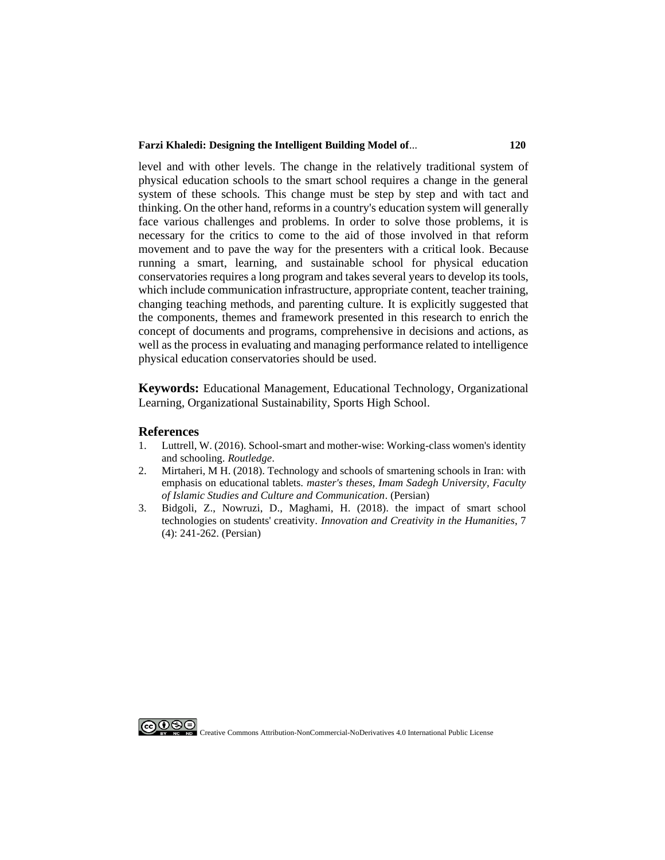#### **Farzi Khaledi: Designing the Intelligent Building Model of**... **120**

level and with other levels. The change in the relatively traditional system of physical education schools to the smart school requires a change in the general system of these schools. This change must be step by step and with tact and thinking. On the other hand, reforms in a country's education system will generally face various challenges and problems. In order to solve those problems, it is necessary for the critics to come to the aid of those involved in that reform movement and to pave the way for the presenters with a critical look. Because running a smart, learning, and sustainable school for physical education conservatories requires a long program and takes several years to develop its tools, which include communication infrastructure, appropriate content, teacher training, changing teaching methods, and parenting culture. It is explicitly suggested that the components, themes and framework presented in this research to enrich the concept of documents and programs, comprehensive in decisions and actions, as well as the process in evaluating and managing performance related to intelligence physical education conservatories should be used.

**Keywords:** Educational Management, Educational Technology, Organizational Learning, Organizational Sustainability, Sports High School.

#### **References**

- 1. [Luttrell, W. \(2016\). School-smart and mother-wise: Working-class women's identity](https://www.taylorfrancis.com/books/mono/10.4324/9781315865904/school-smart-mother-wise-wendy-luttrell)  [and schooling.](https://www.taylorfrancis.com/books/mono/10.4324/9781315865904/school-smart-mother-wise-wendy-luttrell) *Routledge*.
- 2. [Mirtaheri, M H. \(2018\). Technology and schools of smartening schools in Iran: with](https://ganj.irandoc.ac.ir/#/articles/c89410a1a73b079969ae1a0722a55721/search/c5d25ff8a2d3893d075ea0625fae70ed)  emphasis on educational tablets. *[master's theses, Imam Sadegh University, Faculty](https://ganj.irandoc.ac.ir/#/articles/c89410a1a73b079969ae1a0722a55721/search/c5d25ff8a2d3893d075ea0625fae70ed)  [of Islamic Studies and Culture and Communication](https://ganj.irandoc.ac.ir/#/articles/c89410a1a73b079969ae1a0722a55721/search/c5d25ff8a2d3893d075ea0625fae70ed)*. (Persian)
- 3. [Bidgoli, Z., Nowruzi, D., Maghami, H. \(2018\). the impact of smart school](http://journal.bpj.ir/article_540827_78ce52b7ef00dfc4d009c5fc239cf100.pdf)  technologies on students' creativity. *[Innovation and Creativity in the Humanities](http://journal.bpj.ir/article_540827_78ce52b7ef00dfc4d009c5fc239cf100.pdf)*, 7 [\(4\): 241-262. \(Persian\)](http://journal.bpj.ir/article_540827_78ce52b7ef00dfc4d009c5fc239cf100.pdf)

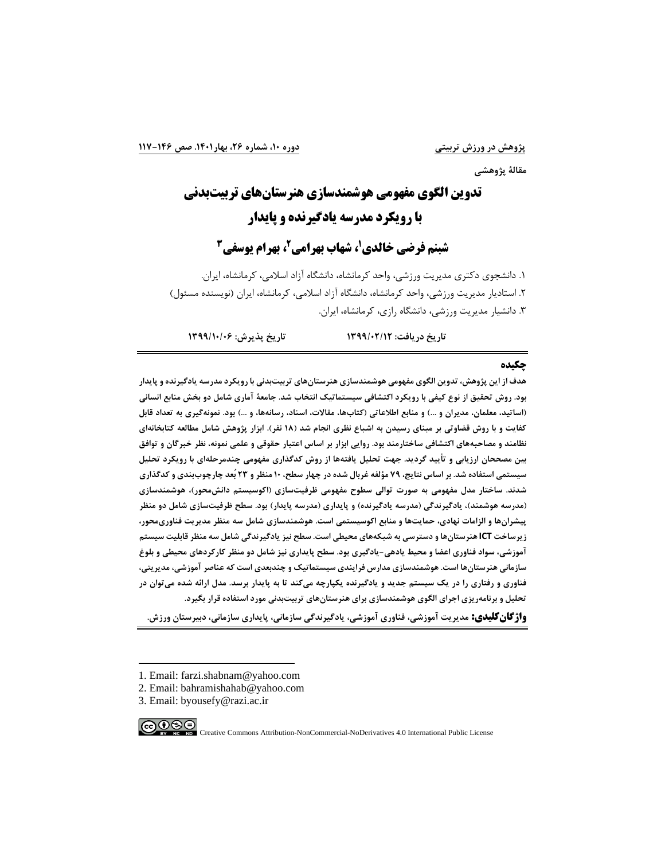**مقالة پژوهشی**

# **تدوین الگوی مفهومی هوشمندسازی هنرستانهای تربیتبدنی 1 با رویکرد مدرسه یادگیرنده و پایدار**

**، شهاب بهرامی <sup>1</sup> شبنم فرضی خالدی ، بهرام یوسفی <sup>2</sup> 3**

.1 دانشجوی دکتری مدیریت ورزشی، واحد کرمانشاه، دانشگاه آزاد اسالمی، کرمانشاه، ایران. .2 استادیار مدیریت ورزشی، واحد کرمانشاه، دانشگاه آزاد اسالمی، کرمانشاه، ایران )نویسنده مسئول( .3 دانشیار مدیریت ورزشی، دانشگاه رازی ، کرمانشاه، ایران.

**تاريخ دريافت: 1399/02/12 تاريخ پذيرش: /10/06 1399**

#### **چکیده**

**هدف از اين پژوهش، تدوين الگوی مفهومی هوشمندسازی هنرستانهای تربیتبدنی با رويکرد مدرسه يادگیرنده و پايدار بود. روش تحقیق از نوع کیفی با رويکرد اکتشافی سیستماتیک انتخاب شد. جامعة آماری شامل دو بخش منابع انسانی )اساتید، معلمان، مديران و ...( و منابع اطالعاتی )کتابها، مقاالت، اسناد، رسانه ها، و ...( بود. نمونهگیری به تعداد قابل کفايت و با روش قضاوتی بر مبنای رسیدن به اشباع نظری انجام شد )18 نفر(. ابزار پژوهش شامل مطالعه کتابخانهای نظامند و مصاحبههای اکتشافی ساختارمند بود. روايی ابزار بر اساس اعتبار حقوقی و علمی نمونه، نظر خبرگان و توافق بین مصححان ارزيابی و تأيید گرديد. جهت تحلیل يافتهها از روش کدگذاری مفهومی چندمرحله ای با رويکرد تحلیل سیستمی استفاده شد. بر اساس نتايج، 79 مؤلفه غربال شده در چهار سطح، 10 منظر و 23 بُعد چارچوببندی و کدگذاری شدند. ساختار مدل مفهومی به صورت توالی سطوح مفهومی ظرفیتسازی )اکوسیستم دانشمحور( ، هوشمندسازی**  (مدرسه هوشمند)، يادگيرندگی (مدرسه يادگيرنده) و پايداری (مدرسه پايدار) بود. سطح ظرفيتسازی شامل دو منظر **پیشران ها و الزامات نهادی، حمايت ها و منابع اکوسیستمی است. هوشمندسازی شامل سه منظر مديريت فناوریمحور، زيرساخت ICT هنرستانها و دسترسی به شبکههای محیطی است. سطح نیز يادگیرندگی شامل سه منظر قابلیت سیستم آموزشی، سواد فناوری اعضا و محیط يادهی-يادگیری بود. سطح پايداری نیز شامل دو منظر کارکردهای محیطی و بلوغ سازمانی هنرستانها است. هوشمندسازی مدارس فرايندی سیستماتیک و چندبعدی است که عناصر آموزشی، مديريتی، فناوری و رفتاری را در يک سیستم جديد و يادگیرنده يکپارچه میکند تا به پايدار برسد. مدل ارائه شده میتوان در تحلیل و برنامهريزی اجرای الگوی هوشمندسازی برای هنرستانهای تربیتبدنی مورد استفاده قرار بگیرد.** 

**واژگانکلیدی: مديريت آموزشی، فناوری آموزشی، يادگیرندگی سازمانی، پايداری سازمانی، دبیرستان ورزش.** 

<sup>1.</sup> Email: farzi.shabnam@yahoo.com

<sup>2.</sup> Email: bahramishahab@yahoo.com

<sup>3.</sup> Email: byousefy@razi.ac.ir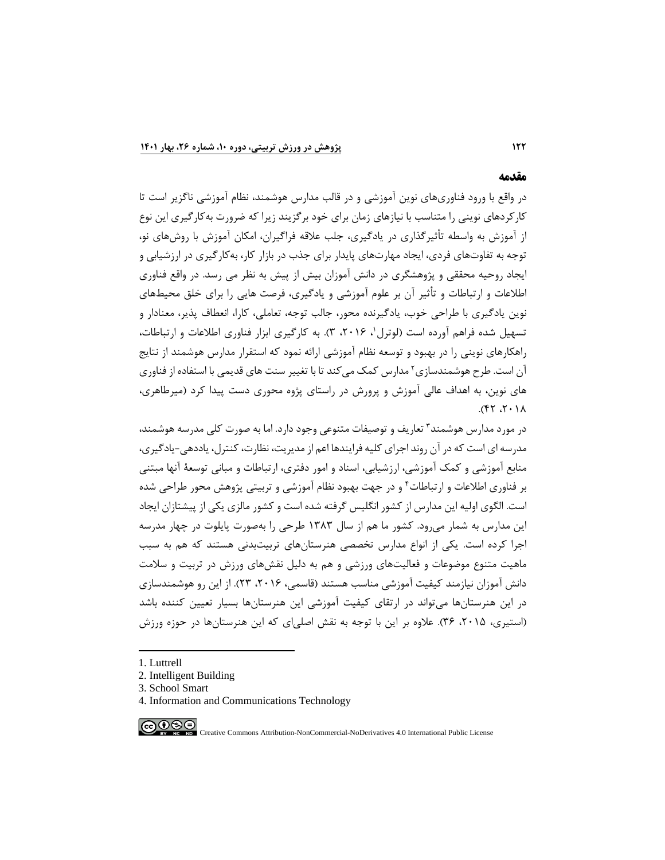#### **مقدمه**

در واقع با ورود فناوریهای نوین آموزشی و در قالب مدارس هوشمند، نظام آموزشی ناگزیر است تا کارکردهای نوینی را متناسب با نیازهای زمان برای خود برگزیند زیرا که ضرورت بهکارگیری این نوع از آموزش به واسطه تأثیرگذاری در یادگیری، جلب عالقه فراگیران، امکان آموزش با روشهای نو، توجه به تفاوتهای فردی، ایجاد مهارتهای پایدار برای جذب در بازار کار، بهکارگیری در ارزشیابی و ایجاد روحیه محققی و پژوهشگری در دانش آموزان بیش از پیش به نظر می رسد. در واقع فناوری اطالعات و ارتباطات و تأثیر آن بر علوم آموزشی و یادگیری، فرصت هایی را برای خلق محیطهای نوین یادگیری با طراحی خوب، یادگیرنده محور، جالب توجه، تعامل ی، کارا، انعطاف پذیر، معنادار و نسهیل شده فراهم آورده است (لوترل ۲۰۱۶، ۳). به کارگیری ابزار فناوری اطلاعات و ارتباطات، راهکارهای نوینی را در بهبود و توسعه نظام آموزشی ارائه نمود که استقرار مدارس هوشمند از نتایج آن است. طرح هوشمندسازی<sup>۲</sup> مدارس کمک می *ک*ند تا با تغییر سنت های قدیمی با استفاده از فناوری های نوین، به اهداف عالی آموزش و پرورش در راستای پژوه محوری دست پیدا کرد )میرطاهری،  $\lambda$  $($   $\cdot$   $\gamma$ ,  $\gamma$  $\uparrow$ 

در مورد مدارس هوشمند۳ تعاریف و توصیفات متنوعی وجود دارد. اما به صورت کلی مدرسه هوشمند، مدرسه ای است که در آن روند اجرای کلیه فرایندها اعم از مدیریت، نظارت، کنترل، یاددهی- یادگیری، منابع آموزشی و کمک آموزشی، ارزشیابی، اسناد و امور دفتری، ارتباطات و مبانی توسعۀ آنها مبتنی بر فناوری اطلاعات و ارتباطات ٔ و در جهت بهبود نظام آموزشی و تربیتی پژوهش محور طراحی شده است. الگوى اولیه این مدارس از کشور انگلیس گرفته شده است و کشور مالزی یکی از پیشتازان ایجاد این مدارس به شمار می رود. کشور ما هم از سال ۱۳۸۳ طرحی را بهصورت پایلوت در چهار مدرسه اجرا کرده است. یکی از انواع مدارس تخصصی هنرستانهای تربیتبدنی هستند که هم به سبب ماهیت متنوع موضوعات و فعالیتهای ورزشی و هم به دلیل نقشهای ورزش در تربیت و سالمت دانش آموزان نیازمند کیفیت آموزشی مناسب هستند )قاسمی، ،2016 23(. از این رو هوشمندسازی در این هنرستانها میتواند در ارتقای کیفیت آموزشی این هنرستانها بسیار تعیین کننده باشد (استیری، ۲۰۱۵، ۳۶). علاوه بر این با توجه به نقش اصلیای که این هنرستانها در حوزه ورزش

1. Luttrell

<sup>4.</sup> Information and Communications Technology



<sup>2.</sup> Intelligent Building

<sup>3.</sup> School Smart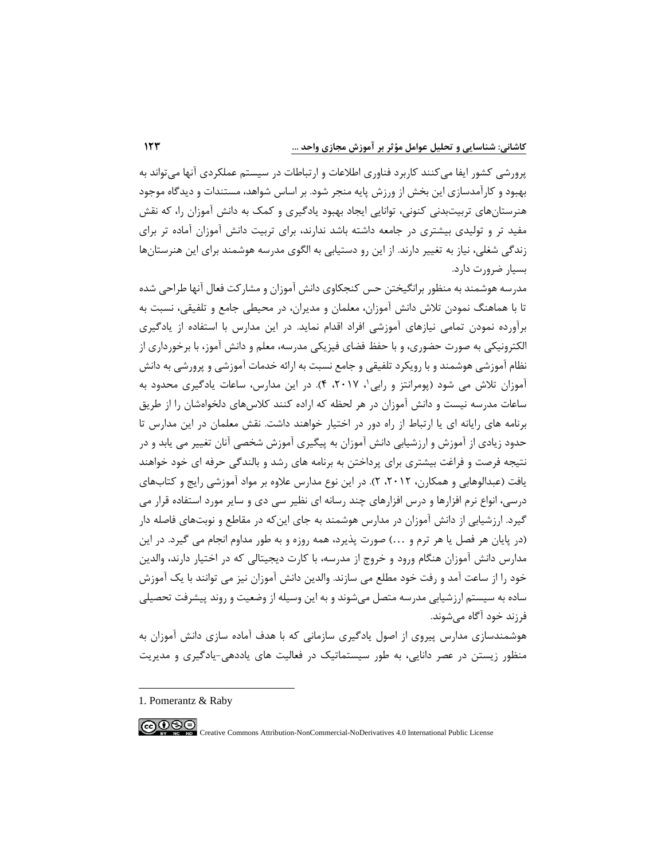پرورشی کشور ایفا میکنند کاربرد فناوری اطالعات و ارتباطات در سیستم عملکردی آنها میتواند به بهبود و کارآمدسازی این بخش از ورزش پایه منجر شود. بر اساس شواهد، مستندات و دیدگاه موجود هنرستانهای تربیتبدنی کنونی، توانایی ایجاد بهبود یادگیری و کمک به دانش آموزان را، که نقش مفید تر و تولیدی بیشتری در جامعه داشته باشد ندارند، برای تربیت دانش آموزان آماده تر برای زندگی شغلی، نیاز به تغییر دارند. از این رو دستیابی به الگوی مدرسه هوشمند برای این هنرستانها بسیار ضرورت دارد.

مدرسه هوشمند به منظور برانگیختن حس کنجکاوی دانش آموزان و مشارکت فعال آنها طراحی شده تا با هماهنگ نمودن تالش دانش آموزان، معلمان و مدیران، در مح یطی جامع و تلفیقی ، نسبت به برآورده نمودن تمامی نیازهای آموزشی افراد اقدام نماید . در این مدارس با استفاده از ی ادگیری الکترونیکی به صورت حضوری، و با حفظ فضای فیزیکی مدرسه، معلم و دانش آموز، با برخورداری از نظام آموزشی هوشمند و با رویکرد تلفیقی و جامع نسبت به ارائه خدمات آموزشی و پرورشی به دانش آموزان تلاش می شود (پومرانتز و رابی'، ۲۰۱۷، ۴). در این مدارس، ساعات یادگیری محدود به ساعات مدرسه نیست و دانش آموزان در هر لحظه که اراده کنند کالسهای دلخواهشان را از طریق برنامه های رایانه ای یا ارتباط از راه دور در اختیار خواهند داشت. نقش معلمان در این مدارس تا حدود زیادی از آموزش و ارزشیابی دانش آموزان به پیگیری آموزش شخصی آنان تغییر می یابد و در نتیجه فرصت و فراغت بیشتری برای پرداختن به برنامه های رشد و بالندگی حرفه ای خود خواهند یافت (عبدالوهابی و همکارن، ۲۰۱۲، ۲). در این نوع مدارس علاوه بر مواد آموزشی رایج و کتابهای درسی، انواع نرم افزارها و درس افزارهای چند رسانه ای نظیر سی دی و سایر مورد استفاده قرار می گیرد. ارزشیابی از دانش آموزان در مدارس هوشمند به جای اینکه در مقاطع و نوبتهای فاصله دار )در پایان هر فصل یا هر ترم و ...( صورت پذیرد، همه روزه و به طور مداوم انجام می گیرد. در این مدارس دانش آموزان هنگام ورود و خروج از مدرسه، با کارت دیجیتالی که در اختیار دارند، والدین خود را از ساعت آمد و رفت خود مطلع می سازند. والدین دانش آموزان نیز می توانند با یک آموزش ساده به سیستم ارزشیابی مدرسه متصل میشوند و به این وسیله از وضعیت و روند پیشرفت تحصیلی فرزند خود آگاه میشوند .

هوشمندسازی مدارس پیروی از اصول یادگیری سازمانی که با هدف آماده سازی دانش آموزان به منظور زیستن در عصر دانایی، به طور سیستماتیک در فعالیت های یاددهی-یادگیری و مدیریت

<sup>1.</sup> Pomerantz & Raby

 $\bigcirc$  000 Creative Commons Attribution-NonCommercial-NoDerivatives 4.0 International Public License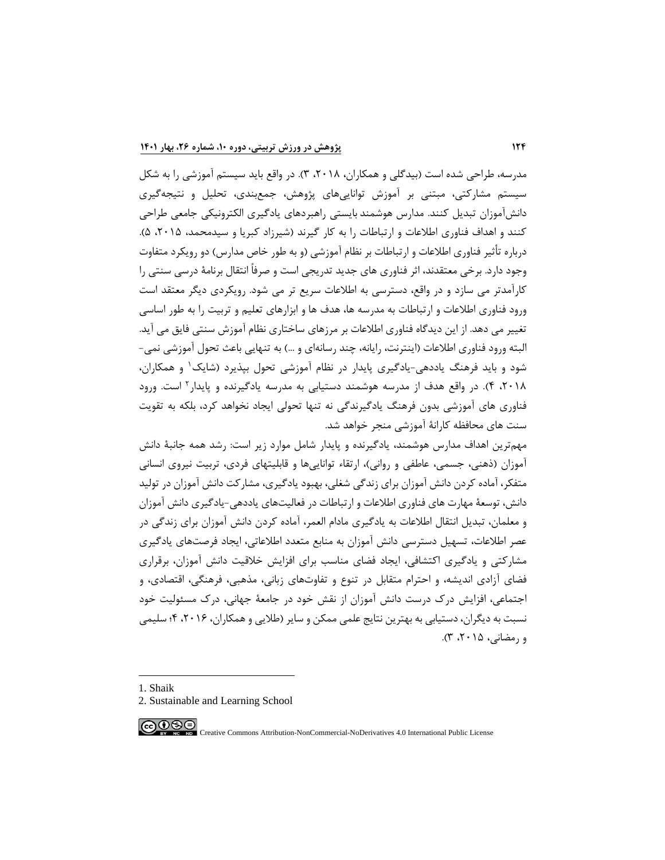مدرسه، طراحی شده است (بیدگلی و همکاران، ۲۰۱۸، ۳). در واقع باید سیستم آموزشى را به شکل سیستم مشارکتی، مبتنی بر آموزش توانایىهاى پژوهش، جمعبندى، تحلیل و نتیجه گیری دانشآموزان تبدیل کنند. مدارس هوشمند بایستی راهبردهای یادگیری الکترونیکی جامعی طراحی کنند و اهداف فناوری اطلاعات و ارتباطات را به کار گیرند (شیرزاد کبریا و سیدمحمد، ۲۰۱۵، ۵). درباره تأثیر فناوری اطلاعات و ارتباطات بر نظام آموزشی (و به طور خاص مدارس) دو رویکرد متفاوت وجود دارد. برخی معتقدند، اثر فناوری های جدید تدریجی است و صرفاً انتقال برنامۀ درسی سنتی را کارآمدتر می سازد و در واقع، دسترسی به اطالعات سریع تر می شود. رویکردی دیگر معتقد است ورود فناوری اطالعات و ارتباطات به مدرسه ها، هدف ها و ابزارهای تعلیم و تربیت را به طور اساسی تغییر می دهد. از این دیدگاه فناوری اطالعات بر مرزهای ساختاری نظام آموزش سنتی فایق می آید . البته ورود فناوری اطلاعات (اینترنت، رایانه، چند رسانهای و …) به تنهایی باعث تحول آموزشی نمی-شود و باید فرهنگ یاددهی-یادگیری پایدار در نظام آموزشی تحول بپذیرد (شایک<sup>۱</sup> و همکاران، ۲۰۱۸، ۴). در واقع هدف از مدرسه هوشمند دستیابی به مدرسه یادگیرنده و پایدار<sup>۲</sup> است. ورود فناوری های آموزشی بدون فرهنگ یادگیرندگی نه تنها تحولی ایجاد نخواهد کرد، بلکه به تقویت سنت های محافظه کارانۀ آموزشی منجر خواهد شد.

مهمترین اهداف مدارس هوشمند، یادگیرنده و پایدار شامل موارد زیر است: رشد همه جانبۀ دانش آموزان (ذهنی، جسمی، عاطفی و روانی)، ارتقاء تواناییها و قابلیتهای فردی، تربیت نیروی انسانی متفکر، آماده کردن دانش آموزان برای زندگی شغلی ، بهبود یادگیری، مشارکت دانش آموزان در تولید دانش، توسعۀ مهارت های فناوری اطالعات و ارتباطات در فعالیتهای یاددهی -یادگیری دانش آموزان و معلمان، تبدیل انتقال اطالعات به یادگیری مادام العمر، آماده کردن دانش آموزان برای زندگی در عصر اطلاعات، تسهیل دسترسی دانش آموزان به منابع متعدد اطلاعاتی، ایجاد فرصتهای یادگیری مشارکتی و یادگیری اکتشافی، ایجاد فضای مناسب برای افزایش خلاقیت دانش آموزان، برقراری فضای آزادی اندیشه، و احترام متقابل در تنوع و تفاوتهای زبانی، مذهبی، فرهنگی، اقتصادی، و اجتماع ی، افزایش درک درست دانش آموزان از نقش خود در جامعۀ جهانی، درک مسئولیت خود نسبت به دیگران، دستیابی به بهترین نتایج علمی ممکن و سایر (طلایی و همکاران، ۲۰۱۶، ۴؛ سلیمی  $(5.7 \cdot 1)$ ، (۲۰۱۵ ق.

1. Shaik

<sup>2.</sup> Sustainable and Learning School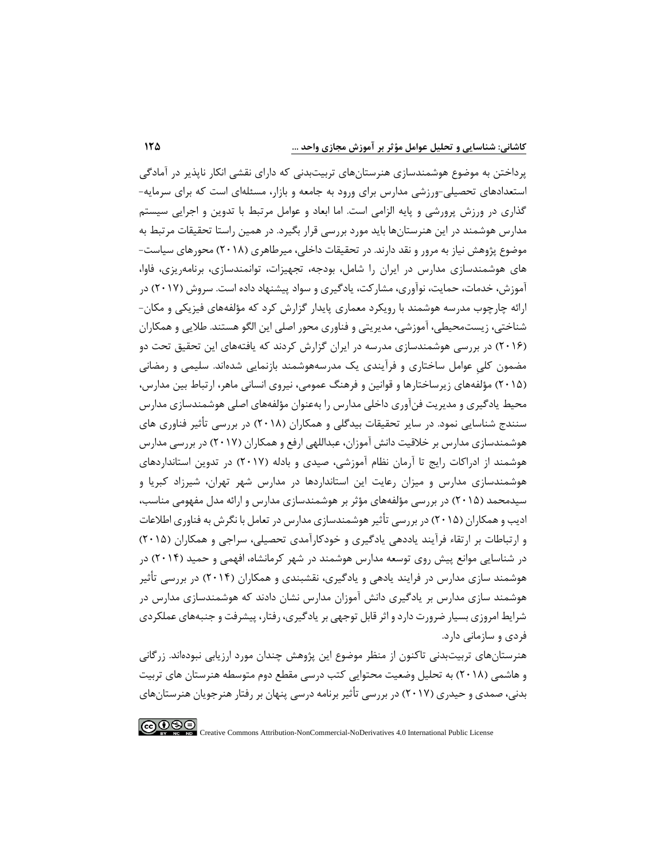پرداختن به موضوع هوشمندسازی هنرستانهای تربیتبدنی که دارای نقشی انکار نا پذیر در آمادگی استعدادهای تحصیلی-ورزشی مدارس برای ورود به جامعه و بازار، مسئله ای است که برای سرمایه- گذاری در ورزش پرورشی و پایه الزامی است. اما ابعاد و عوامل مرتبط با تدوین و اجرایی سیستم مدارس هوشمند در این هنرستان ها باید مورد بررسی قرار بگیرد. در همین راستا تحقیقات مرتبط به موضوع پژوهش نیاز به مرور و نقد دارند. در تحقیقات داخلی، میرطاهری )2018( محورهای سیاست- های هوشمندسازی مدارس در ایران را شامل، بودجه، تجهیزات، توانمندسازی، برنامهریزی، فاوا، آموزش، خدمات، حمایت، نوآوری، مشارکت، یادگیری و سواد پیشنهاد داده است. سروش )2017( در ارائه چارچوب مدرسه هوشمند با رویکرد معماری پایدار گزارش کرد که مؤلفههای فیزیکی و مکان- شناختی، زیستمحیطی، آموزشی، مدیریتی و فناوری محور اصلی این الگو هستند. طالیی و همکاران )2016( در بررسی هوشمندسازی مدرسه در ایران گزارش کردند که یافتههای این تحقیق تحت دو مضمون کلیِ عوامل ساختاری و فرآیندی یک مدرسههوشمند بازنمایی شدهاند. سلیمی و رمضانی )2015( مؤلفههای زیرساختارها و قوانین و فرهنگ عمومی، نیروی انسانی ماهر، ارتباط بین مدارس، محیط یادگیری و مدیریت فنآوری داخلی مدارس را بهعنوان مؤلفه های اصلی هوشمندسازی مدارس سنندج شناسایی نمود. در سایر تحقیقات بیدگلی و همکاران )2018( در بررسی تأثیر فناوری های هوشمندسازی مدارس بر خالقیت دانش آموزان، عبداللهی ارفع و همکاران )2017( در بررسی مدارس هوشمند از ادراکات رایج تا آرمان نظام آموزشی، صیدی و بادله )2017( در تدوین استانداردهای هوشمندسازی مدارس و میزان رعایت این استانداردها در مدارس شهر تهران، شیرزاد کبریا و سیدمحمد )2015( در بررسی مؤلفه های مؤثر بر هوشمندسازی مدارس و ارائه مدل مفهومی مناسب، ادیب و همکاران )2015( در بررسی تأثیر هوشمندسازی مدارس در تعامل با نگرش به فناوری اطالعات و ارتباطات بر ارتقاء فرآیند یاددهی یادگیری و خودکارآمدی تحصیلی، سراجی و همکاران )2015( در شناسایی موانع پیش روی توسعه مدارس هوشمند در شهر کرمانشاه، افهمی و حمید )2014( در هوشمند سازی مدارس در فرایند یادهی و یادگیری، نقشبندی و همکاران )2014( در بررسی تأثیر هوشمند سازی مدارس بر یادگیری دانش آموزان مدارس نشان دادند که هوشمندسازی مدارس در شرایط امروزی بسیار ضرورت دارد و اثر قابل توجهی بر یادگیری، رفتار، پیشرفت و جنبههای عملکردی فردی و سازمانی دارد.

هنرستانهای تربیتبدنی تاکنون از منظر موضوع این پژوهش چندان مورد ارزیابی نبودهاند. زرگانی و هاشمی )2018( به تحلیل وضعیت محتوایی کتب درسی مقطع دوم متوسطه هنرستان های تربیت بدنی، صمدی و حیدری )2017( در بررسی تأثیر برنامه درسی پنهان بر رفتار هنرجویان هنرستان های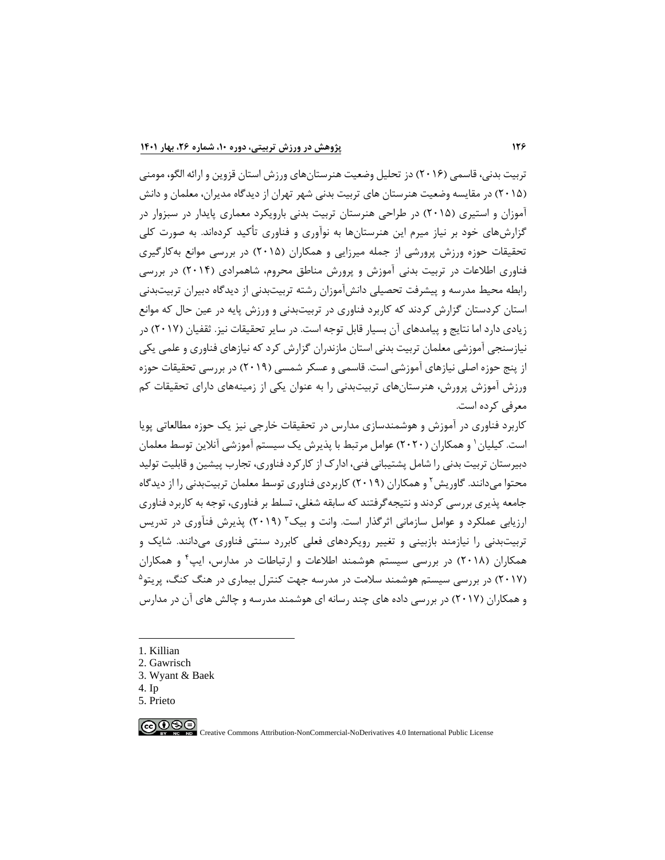تربیت بدنی، قاسمی (۲۰۱۶) دز تحلیل وضعیت هنرستانهای ورزش استان قزوین و ارائه الگو، مومنی )2015( در مقایسه وضعیت هنرستان های تربیت بدنی شهر تهران از دیدگاه مدیران، معلمان و دانش آموزان و استیری )2015( در طراحی هنرستان تربیت بدنی بارویکرد معماری پایدار در سبزوار در گزارشهای خود بر نیاز میرم این هنرستانها به نوآوری و فناوری تأ کید کردهاند. به صورت کلی تحقیقات حوزه ورزش پرورشی از جمله میرزایی و همکاران )2015( در بررسی موانع بهکارگیری فناوری اطالعات در تربیت بدنی آموزش و پرورش مناطق محروم، شاهمرادی )2014( در بررسی رابطه محیط مدرسه و پیشرفت تحصیلی دانشآموزان رشته تربیت بدنی از دیدگاه دبیران تربیت بدنی استان کردستان گزارش کردند که کاربرد فناوری در تربیتبدنی و ورزش پایه در عین حال که موانع زیادی دارد اما نتایج و پیامدهای آن بسیار قابل توجه است. در سایر تحقیقات نیز. ثقفیان )2017( در نیازسنجی آموزشی معلمان تربیت بدنی استان مازندران گزارش کرد که نیازهای فناوری و علمی یکی از پنج حوزه اصلی نیازهای آموزشی است. قاسمی و عسکر شمسی )2019( در بررسی تحقیقات حوزه ورزش آموزش پرورش، هنرستانهای تربیتبدنی را به عنوان یکی از زمینههای دارای تحقیقات کم معرفی کرده است.

کاربرد فناوری در آموزش و هوشمندسازی مدارس در تحقیقات خارجی نیز یک حوزه مطالعاتی پویا ّست. کیلیان` و همکاران (۲۰۲۰) عوامل مرتبط با پذیرش یک سیستم آموزشی آنلاین توسط معلمان دبیرستان تربیت بدنی را شامل پشتیبانی فنی، ادارک از کارکرد فناوری، تجارب پیشین و قابلیت تولید محتوا میدانند. گاوریش ٔ و همکاران (۲۰۱۹) کاربردی فناوری توسط معلمان تربیتبدنی را از دیدگاه جامعه پذیری بررسی کردند و نتیجهگرفتند که سابقه شغلی، تسلط بر فناوری، توجه به کاربرد فناوری رزیابی عملکرد و عوامل سازمانی اثرگذار است. وانت و بیک ۳ (۲۰۱۹) پذیرش فنآوری در تدریس تربیتبدنی را نیازمند بازبینی و تغییر رویکردهای فعلی کابررد سنتی فناوری میدانند. شایک و همکاران (۲۰۱۸) در بررسی سیستم هوشمند اطلاعات و ارتباطات در مدارس، ایپ<sup>۴</sup> و همکاران (۲۰۱۷) در بررسی سیستم هوشمند سلامت در مدرسه جهت کنترل بیماری در هنگ کنگ، پریتو<sup>۵</sup> و همکاران )2017( در بررسی داده های چند رسانه ای هوشمند مدرسه و چالش های آن در مدارس

- 4. Ip
- 5. Prieto

<sup>1.</sup> Killian

<sup>2.</sup> Gawrisch

<sup>3.</sup> Wyant & Baek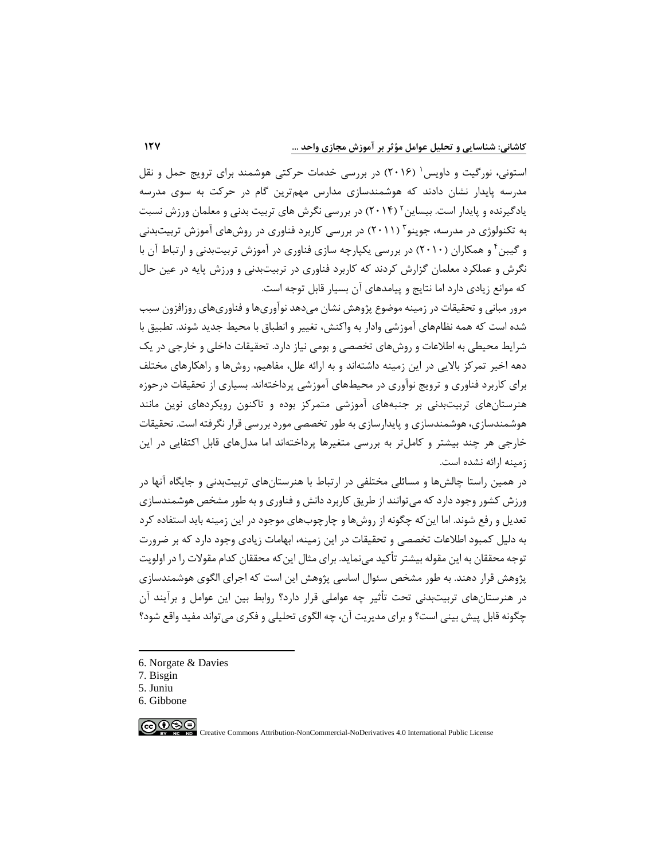ستونی، نورگیت و داویس` (۲۰۱۶) در بررسی خدمات حرکتی هوشمند برای ترویج حمل و نقل مدرسه پایدار نشان دادند که هوشمندسازی مدارس مهمترین گام در حرکت به سوی مدرسه بادگیرنده و پایدار است. بیساین ۲ (۲۰۱۴) در بررسی نگرش های تربیت بدنی و معلمان ورزش نسبت به تکنولوژی در مدرسه، جوینو۲ (۲۰۱۱) در بررسی کاربرد فناوری در روشهای آموزش تربیتبدنی و گیبن ٔ و همکاران (۲۰۱۰) در بررسی یکپارچه سازی فناوری در آموزش تربیتبدنی و ارتباط آن با نگرش و عملکرد معلمان گزارش کردند که کاربرد فناوری در تربیتبدنی و ورزش پایه در عین حال که موانع زیادی دارد اما نتایج و پیامدهای آن بسیار قابل توجه است.

مرور مبانی و تحقیقات در زمینه موضوع پژوهش نشان میدهد نوآوریها و فناوریهای روزافزون سبب شده است که همه نظام های آموزشی وادار به واکنش، تغییر و انطباق با محیط جدید شوند. تطبیق با شرایط محیطی به اطالعات و روشهای تخصصی و بومی نیاز دارد. تحقیقات داخلی و خارجی در یک دهه اخیر تمرکز باالیی در این زمینه داشتهاند و به ارائه علل، مفاهیم، روشها و راهکارهای مختلف برای کاربرد فناوری و ترویج نوآوری در محیطهای آموزشی پرداختهاند. بسیاری از تحقیقات درحوزه هنرستانهای تربیتبدنی بر جنبههای آموزشی متمرکز بوده و تاکنون رویکردهای نوین مانند هوشمندسازی، هوشمندسازی و پایدارسازی به طور تخصصی مورد بررسی قرار نگرفته است. تحقیقات خارجی هر چند بیشتر و کاملتر به بررسی متغیرها پرداختهاند اما مدل های قابل اکتفایی در این زمینه ارائه نشده است.

در همین راستا چالشها و مسائلی مختلفی در ارتباط با هنرستانهای تربیتبدنی و جایگاه آنها در ورزش کشور وجود دارد که می توانند از طریق کاربرد دانش و فناوری و به طور مشخص هوشمندسازی تعدیل و رفع شوند. اما اینکه چگونه از روشها و چارچوبهای موجود در این زمینه باید استفاده کرد به دلیل کمبود اطالعات تخصصی و تحقیقات در این زمینه، ابهامات زیادی وجود دارد که بر ضرورت توجه محققان به این مقوله بیشتر تأکید می نماید. برای مثال اینکه محققان کدام مقوالت را در اولویت پژوهش قرار دهند. به طور مشخص سئوال اساسی پژوهش این است که اجرای الگوی هوشمندسازی در هنرستانهای تربیتبدنی تحت تأثیر چه عواملی قرار دارد؟ روابط بین این عوامل و برآیند آن چگونه قابل پیش بینی است؟ و برای مدیریت آن، چه الگوی تحلیلی و فکری میتواند مفید واقع شود؟

7. Bisgin

6. Gibbone

$$
\bigcirc \bigcirc \bigcirc \bigcirc \bigcirc \bigcirc \bigcirc
$$

<sup>6.</sup> Norgate & Davies

<sup>5.</sup> Juniu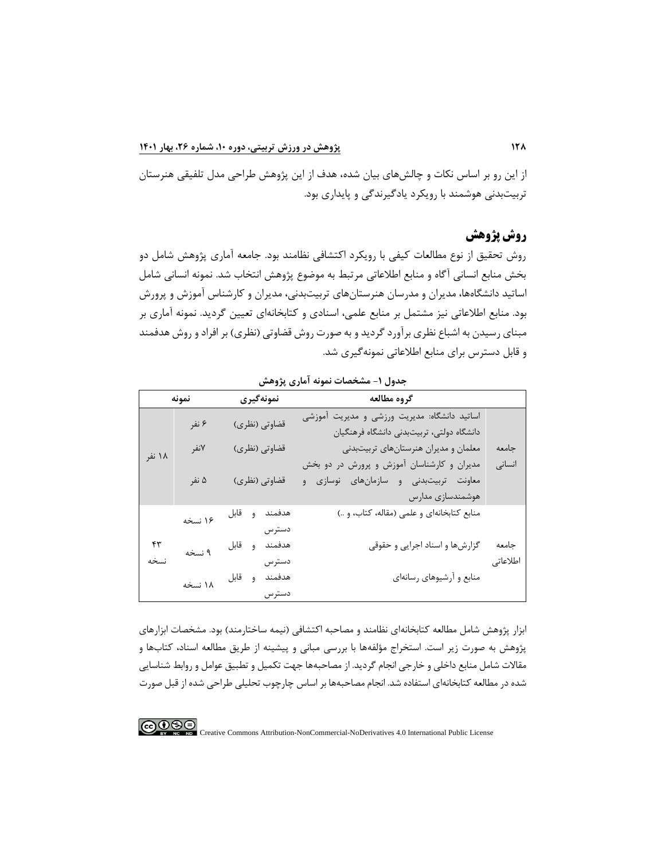از این رو بر اساس نکات و چالشهای بیان شده ، هدف از این پژوهش طراحی مدل تلفیقی هنرستان تربیتبدنی هوشمند با رویکرد یادگیرندگی و پایداری بود.

# **روش پژوهش**

روش تحقیق از نوع مطالعات کیفی با رویکرد اکتشافی نظامند بود. جامعه آماری پژوهش شامل دو بخش منابع انسانی آگاه و منابع اطالعاتی مرتبط به موضوع پژوهش انتخاب شد. نمونه انسانی شامل اساتید دانشگاه ها، مدیران و مدرسان هنرستانهای تربیتبدنی، مدیران و کارشناس آموزش و پرورش بود. منابع اطالعاتی نیز مشتمل بر منابع علمی، اسنادی و کتابخانهای تعیین گردید. نمونه آماری بر مبنای رسیدن به اشباع نظری برآورد گردید و به صورت روش قضاوتی (نظری) بر افراد و روش هدفمند و قابل دسترس برای منابع اطالعاتی نمونهگیری شد.

**گروه مطالعه نمونهگیری نمونه**  جامعه انسانی اساتید دانشگاه: مدیریت ورزشی و مدیریت آموزشی دانشگاه دولتی، تربیت بدنی دانشگاه فرهنگیان قضاوتی )نظری( 6 نفر 18 نفر معلمان و مدیران هنرستانهای تربیتبدنی قضاوتی )نظری( 7نفر مدیران و کارشناسان آموزش و پرورش در دو بخش معاونت تربیتبدنی و سازمانهای نوسازی و هوشمندسازی مدارس قضاوتی )نظری( 5 نفر جامعه اطلاعاتی منابع کتابخانهای و علمی (مقاله، کتاب، و ..) هدفمند و قابل دسترس 16 نسخه  $\mathbf{f}$ نسخه گزارشها و اسناد اجرایی و حقوقی هدفمند و قابل دسترس 9 نسخه منابع و آرشیوهای رسانهای هدفمند و قابل دسترس 18 نسخه

**جدول -1 مشخصات نمونه آماری پژوهش**

ابزار پژوهش شامل مطالعه کتابخانهای نظامند و مصاحبه اکتشافی (نیمه ساختارمند) بود. مشخصات ابزارهای پژوهش به صورت زیر است. استخراج مؤلفهها با بررسی مبانی و پیشینه از طریق مطالعه اسناد، کتابها و مقاالت شامل منابع داخلی و خارجی انجام گردید. از مصاحبهها جهت تکمیل و تطبیق عوامل و روابط شناسایی شده در مطالعه کتابخانهای استفاده شد. انجام مصاحبهها بر اساس چارچوب تحلیلی طراحی شده از قبل صورت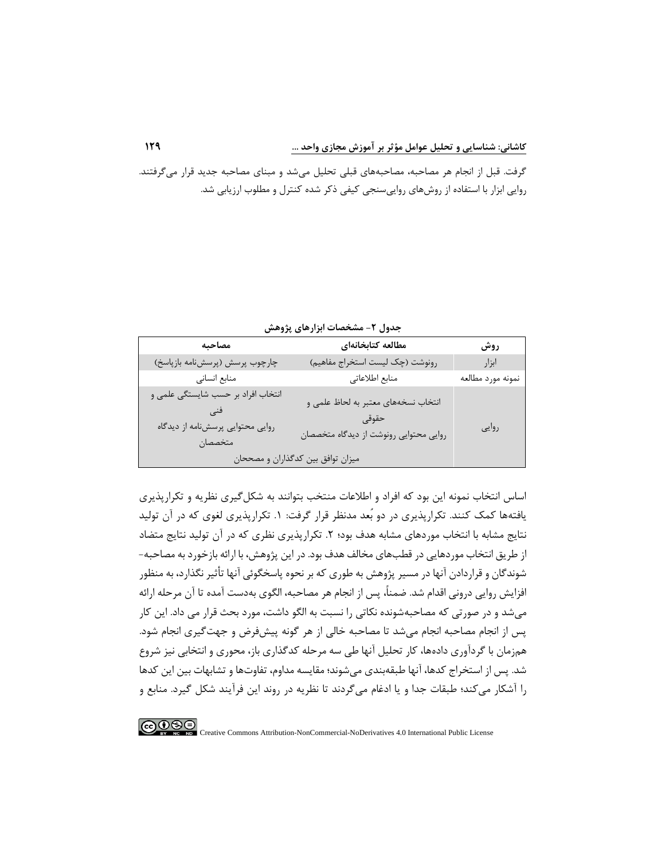گرفت. قبل از انجام هر مصاحبه، مصاحبههای قبلی تحلیل میشد و مبنای مصاحبه جدید قرار میگرفتند. روایی ابزار با استفاده از روشهای رواییسنجی کیفی ذکر شده کنترل و مطلوب ارزیابی شد.

| مصاحبه                                                                                                                 | مطالعه كتابخانهاى                                                                      | روش               |
|------------------------------------------------------------------------------------------------------------------------|----------------------------------------------------------------------------------------|-------------------|
| چارچوب پرسش (پرسشنامه بازپاسخ)                                                                                         | رونوشت (چک لیست استخراج مفاهیم)                                                        | ابزار             |
| منابع انسانی                                                                                                           | منابع اطلاعاتي                                                                         | نمونه مورد مطالعه |
| انتخاب افراد بر حسب شایستگی علمی و<br>روایی محتوایی پرسشنامه از دیدگاه<br>متخصصان<br>میزان توافق بین کدگذاران و مصححان | انتخاب نسخههای معتبر به لحاظ علمی و<br>حقوقى<br>روایی محتوایی رونوشت از دیدگاه متخصصان | روايي             |

**جدول -2 مشخصات ابزارهای پژوهش**

اساس انتخاب نمونه این بود که افراد و اطالعات منتخب بتوانند به شکلگیری نظریه و تکرارپذیری یافتهها کمک کنند. تکرارپذیری در دو بُعد مدنظر قرار گرفت: .1 تکرارپذیری لغوی که در آن تولید نتایج مشابه با انتخاب موردهای مشابه هدف بود؛ ۲. تکرارپذیری نظری که در آن تولید نتایج متضاد از طریق انتخاب موردهایی در قطبهای مخالف هدف بود. در این پژوهش، با ارائه بازخورد به مصاحبه- شوندگان و قراردادن آنها در مسیر پژوهش به طوری که بر نحوه پاسخگوئی آنها تأثیر نگذارد، به منظور افزایش روایی درونی اقدام شد. ضمنا،ً پس از انجام هر مصاحبه، الگوی بهدست آمده تا آن مرحله ارائه میشد و در صورتی که مصاحبهشونده نکاتی را نسبت به الگو داشت، مورد بحث قرار می داد. این کار پس از انجام مصاحبه انجام میشد تا مصاحبه خالی از هر گونه پیشفرض و جهتگیری انجام شود. همزمان با گردآوری داده ها، کار تحلیل آنها طی سه مرحله کدگذاری باز، محوری و انتخابی نیز شروع شد. پس از استخراج کدها، آنها طبقهبندی میشوند؛ مقایسه مداوم، تفاوتها و تشابهات بین این کدها را آشکار میکند؛ طبقات جدا و یا ادغام میگردند تا نظریه در روند این فرآیند شکل گیرد. منابع و

 $\bigcirc$   $\bigcirc$   $\bigcirc$ Creative Commons Attribution-NonCommercial-NoDerivatives 4.0 International Public License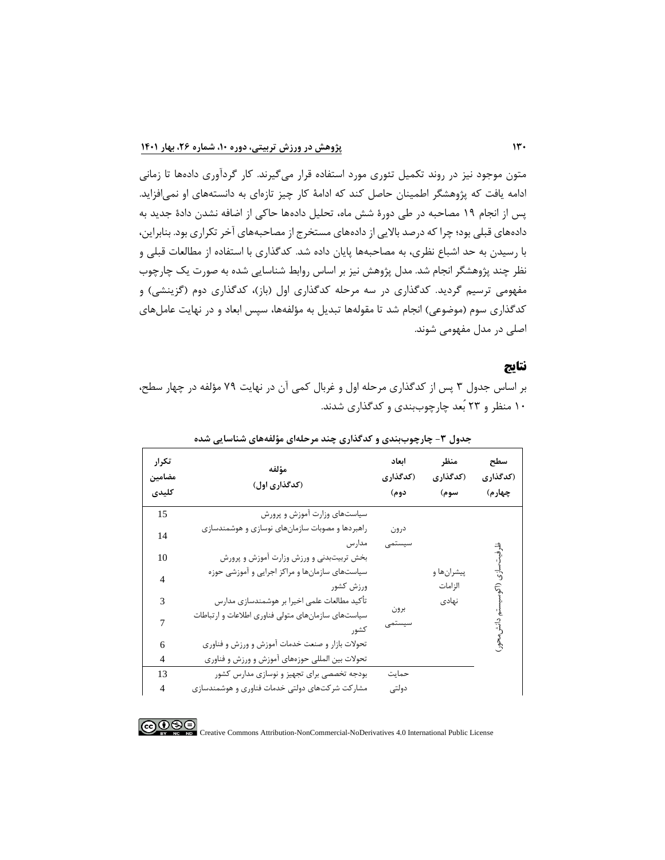متون موجود نیز در روند تکمیل تئوری مورد استفاده قرار میگیرند. کار گردآوری دادهها تا زمانی ادامه یافت که پژوهشگر اطمینان حاصل کند که ادامۀ کار چیز تازهای به دانسته های او نمیافزاید. پس از انجام 19 مصاحبه در طی دورۀ شش ماه، تحلیل داده ها حاکی از اضافه نشدن دادۀ جدید به دادههای قبلی بود؛ چرا که درصد باالیی از داده های مستخرج از مصاحبههای آخر تکراری بود. بنابراین، با رسیدن به حد اشباع نظری، به مصاحبهها پایان داده شد. کدگذاری با استفاده از مطالعات قبلی و نظر چند پژوهشگر انجام شد. مدل پژوهش نیز بر اساس روابط شناسایی شده به صورت یک چارچوب مفهومی ترسیم گردید. کدگذاری در سه مرحله کدگذاری اول (باز)، کدگذاری دوم (گزینشی) و کدگذاری سوم (موضوعی) انجام شد تا مقولهها تبدیل به مؤلفهها، سپس ابعاد و در نهایت عاملهای اصلی در مدل مفهومی شوند.

## **نتایج**

بر اساس جدول 3 پس از کدگذاری مرحله اول و غربال کمی آن در نهایت 79 مؤلفه در چهار سطح، 10 منظر و 23 بُعد چارچوببندی و کدگذاری شدند.

| تكرار<br>مضامين<br>كليدى | مؤلفه<br>(کدگذاری اول)                                      | ابعاد<br>(کدگذاری<br>دوم) | منظر<br>(کدگذاری<br>سوم) | سطح<br>(کدگذاری<br>چهار م) |
|--------------------------|-------------------------------------------------------------|---------------------------|--------------------------|----------------------------|
| 15                       | سیاستهای وزارت آموزش و پرورش                                |                           |                          |                            |
| 14                       | راهبردها و مصوبات سازمانهای نوسازی و هوشمندسازی<br>مدارس    | درون<br>سيستمى            |                          |                            |
| 10                       | بخش تربیتبدنی و ورزش وزارت آموزش و پرورش                    |                           |                          |                            |
| $\overline{4}$           | سیاستهای سازمانها و مراکز اجرایی و آموزشی حوزه<br>ورزش كشور |                           | پيشرانها و<br>الزامات    |                            |
| 3                        | تأكيد مطالعات علمي اخيرا بر هوشمندسازي مدارس                |                           | نهادى                    |                            |
| 7                        | سیاستهای سازمانهای متولی فناوری اطلاعات و ارتباطات<br>كشو,  | برون<br>سيستمى            |                          |                            |
| 6                        | تحولات بازار و صنعت خدمات آموزش و ورزش و فناورى             |                           |                          |                            |
| 4                        | تحولات بین المللی حوزههای آموزش و ورزش و فناوری             |                           |                          |                            |
| 13                       | بودجه تخصصي براي تجهيز و نوسازي مدارس كشور                  | حمايت                     |                          |                            |
| $\overline{4}$           | مشارکت شرکتهای دولتی خدمات فناوری و هوشمندسازی              | دولتى                     |                          |                            |

**جدول -3 چارچوببندی و کدگذاری چند مرحلهای مؤلفههای شناسايی شده**

 $\bigcircled{\mathbb{R}}\oplus$ Creative Commons Attribution-NonCommercial-NoDerivatives 4.0 International Public License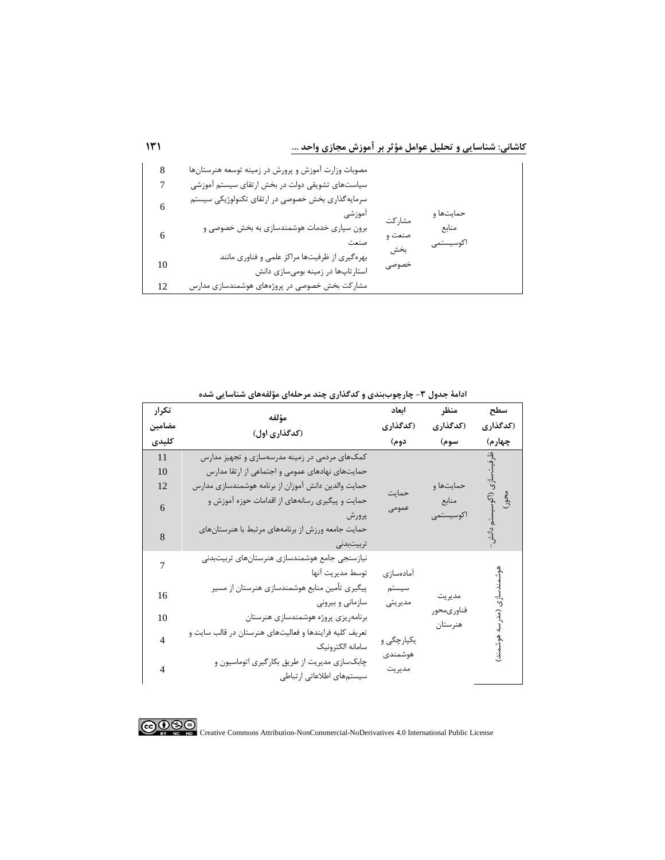# **کاشانی: شناسا يی و تحلیل عوامل مؤثر بر آموزش مجازی واحد ...**

| 8  | مصوبات وزارت آموزش و پرورش در زمینه توسعه هنرستانها                                |                  |                    |  |
|----|------------------------------------------------------------------------------------|------------------|--------------------|--|
|    | سیاستهای تشویقی دولت در بخش ارتقای سیستم آموزشی                                    |                  |                    |  |
| б  | سرمایهگذاری بخش خصوصی در ارتقای تکنولوژیکی سیستم<br>اموزشى                         |                  | حمايتها و          |  |
| 6  | برون سپاری خدمات هوشمندسازی به بخش خصوصی و<br>صنعت                                 | مشاركت<br>صنعت و | منابع<br>اكوسيستمى |  |
| 10 | بهرهگیری از ظرفیتها مراکز علمی و فناوری مانند<br>استارتاپها در زمینه بومیسازی دانش | بخش<br>حصوصى     |                    |  |
| 12 | مشارکت بخش خصوصی در پروژههای هوشمندسازی مدارس                                      |                  |                    |  |

| تكرار<br>مضامين | مؤلفه<br>(کدگذاری اول)                                 | ابعاد<br>(کدگذاری | منظر<br>(کدگذاری      | سطح<br>(کدگذاری |
|-----------------|--------------------------------------------------------|-------------------|-----------------------|-----------------|
| كليدى           |                                                        | دوم)              | سوم)                  | چهارم)          |
| 11              | کمکهای مردمی در زمینه مدرسهسازی و تجهیز مدارس          |                   |                       |                 |
| 10              | حمایتهای نهادهای عمومی و اجتماعی از ارتقا مدارس        |                   |                       |                 |
| 12              | حمايت والدين دانش آموزان از برنامه هوشمندسازي مدارس    | حماىت             | حمايتها و             |                 |
| 6               | حمایت و پیگیری رسانههای از اقدامات حوزه آموزش و        |                   | منابع                 | $\frac{1}{2}$   |
|                 | پرورش                                                  | عمومى             | اكوسيستمى             |                 |
| 8               | حمایت جامعه ورزش از برنامههای مرتبط با هنرستانهای      |                   |                       |                 |
|                 | تربيتبدنى                                              |                   |                       |                 |
| 7               | نیازسنجی جامع هوشمندسازی هنرستانهای تربیتبدنی          |                   |                       |                 |
|                 | توسط مديريت آنها                                       | آمادەسازى         |                       |                 |
| 16              | پیگیری تأمین منابع هوشمندسازی هنرستان از مسیر          | سيستم             |                       |                 |
|                 | سازمانی و بیرونی                                       | مديريتي           | مديريت<br>فناور ىمحور |                 |
| 10              | برنامەريزى پروژه هوشمندسازى هنرستان                    |                   |                       |                 |
| $\overline{4}$  | تعریف کلیه فرایندها و فعالیتهای هنرستان در قالب سایت و |                   | هنرستان               |                 |
|                 | سامانه الكترونيك                                       | یکپارچگی و        |                       |                 |
|                 | چابکسازی مدیریت از طریق بکارگیری اتوماسیون و           | هوشمندى           |                       |                 |
| 4               | سیستمهای اطلاعاتی ارتباطی                              | مديريت            |                       |                 |

**ادامة جدول -3 چارچوببندی و کدگذاری چند مرحلهای مؤلفههای شناسايی شده**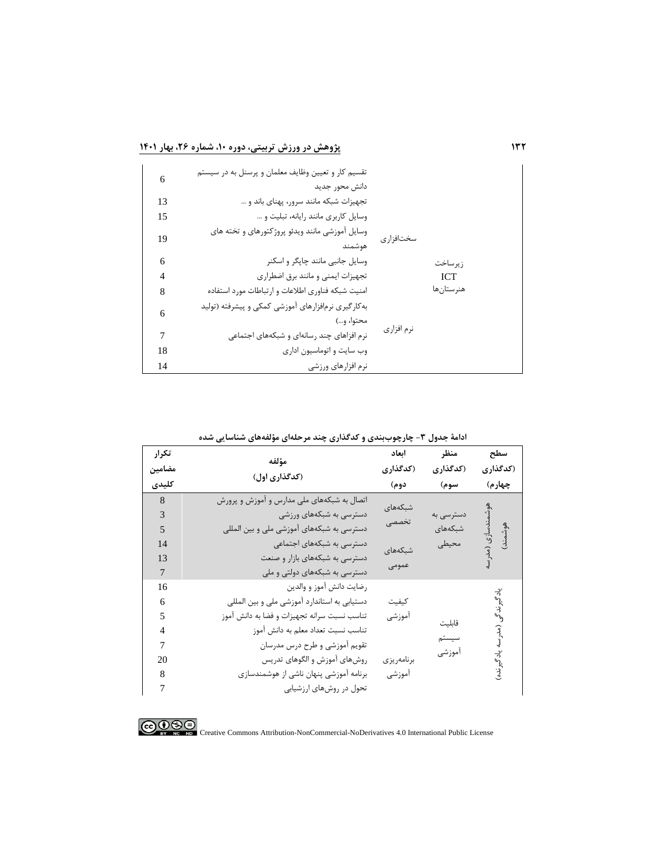# **132 پژوهش در ورزش تربیتی، دوره ،10 شماره ،26 بهار 1401**

| 6  | تقسیم کار و تعیین وظایف معلمان و پرسنل به در سیستم   |            |             |  |
|----|------------------------------------------------------|------------|-------------|--|
|    | دانش محور جديد                                       |            |             |  |
| 13 | تجهیزات شبکه مانند سرور، یهنای باند و …              |            |             |  |
| 15 | وسایل کاربری مانند رایانه، تبلیت و …                 |            |             |  |
| 19 | وسایل آموزشی مانند ویدئو پروژکتورهای و تخته های      | سختافزارى  |             |  |
|    | هوشمند                                               |            |             |  |
| 6  | وسایل جانبی مانند چاپگر و اسکنر                      |            | ; پر ساخت   |  |
| 4  | تجهیزات ایمنی و مانند برق اضطراری                    |            | <b>ICT</b>  |  |
| 8  | امنیت شبکه فناوری اطلاعات و ارتباطات مورد استفاده    |            | هنر ستان ها |  |
| 6  | به کار گیری نرمافزارهای آموزشی کمکی و پیشرفته (تولید |            |             |  |
|    | محتوا، و…)                                           |            |             |  |
| 7  | نرم افزاهای چند رسانهای و شبکههای اجتماعی            | نرم افزاری |             |  |
| 18 | وب سایت و اتوماسیون اداری                            |            |             |  |
| 14 | نرم افزارهای ورزشی                                   |            |             |  |

| تكرار  | مؤلفه                                        | ابعاد       | منظر      | سطح      |
|--------|----------------------------------------------|-------------|-----------|----------|
| مضامین | (کدگذاری اول)                                | (کدگذاری    | (کدگذاری  | (کدگذاری |
| كليدى  |                                              | دوم)        | سوم)      | چهار م)  |
| 8      | اتصال به شبکههای ملی مدارس و آموزش و پرورش   | شبکههای     |           |          |
| 3      | دسترسی به شبکههای ورزشی                      |             | دسترسى به |          |
| 5      | دسترسی به شبکههای آموزشی ملی و بین المللی    | تخصصى       | شبكەھاي   | هوشمند)  |
| 14     | دسترسی به شبکههای اجتماعی                    | شىكەھاي     | محيطى     |          |
| 13     | دسترسی به شبکههای بازار و صنعت               |             |           |          |
| 7      | دسترسی به شبکههای دولتی و ملی                | عمومى       |           |          |
| 16     | رضايت دانش آموز و والدين                     |             |           |          |
| 6      | دستیابی به استاندارد آموزشی ملی و بین المللی | كيفيت       |           |          |
| 5      | تناسب نسبت سرانه تجهيزات و فضا به دانش آموز  | آموزشى      | قابليت    |          |
| 4      | تناسب نسبت تعداد معلم به دانش آموز           |             |           |          |
| 7      | تقويم أموزشي و طرح درس مدرسان                |             | سيستم     |          |
| 20     | روشهای آموزش و الگوهای تدریس                 | برنامەر يزى | أموزشى    |          |
| 8      | برنامه آموزشی پنهان ناشی از هوشمندسازی       | آموزشى      |           |          |
| 7      | تحول در روشهای ارزشیابی                      |             |           |          |

# ادامهٔ جدول ۳- چارچوببندی و کدگذاری چند مرحلهای مؤلفههای شناسایی شده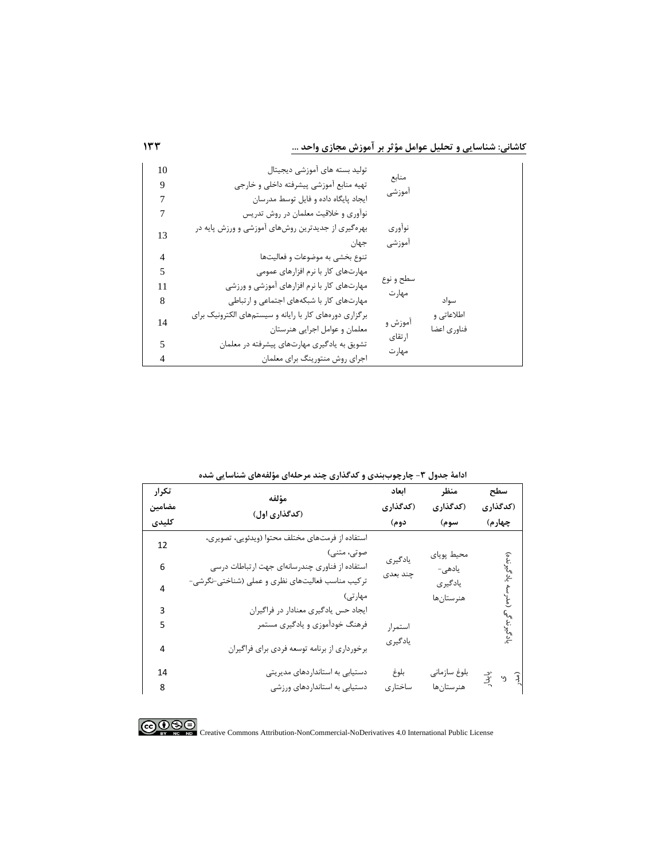**کاشانی: شناسا يی و تحلیل عوامل مؤثر بر آموزش مجازی واحد ...** 

| 10 | تولید بسته های آموزشی دیجیتال                           | منابع             |             |  |
|----|---------------------------------------------------------|-------------------|-------------|--|
| 9  | تهيه منابع آموزشي پيشرفته داخلي و خارجي                 | اموزشى            |             |  |
|    | ايجاد پايگاه داده و فايل توسط مدرسان                    |                   |             |  |
| 7  | نوآوری و خلاقیت معلمان در روش تدریس                     |                   |             |  |
| 13 | بهرهگیری از جدیدترین روشهای آموزشی و ورزش پایه در       | نوآوري            |             |  |
|    | جهان                                                    | آموزشى            |             |  |
| 4  | تنوع بخشى به موضوعات و فعاليتها                         |                   |             |  |
| 5  | مهارتهای کار با نرم افزارهای عمومی                      | سطح و نوع         |             |  |
| 11 | مهارتهای کار با نرم افزارهای آموزشی و ورزشی             |                   |             |  |
| 8  | مهارتهای کار با شبکههای اجتماعی و ارتباطی               | مهارت             | سواد        |  |
| 14 | برگزاری دورههای کار با رایانه و سیستمهای الکترونیک برای |                   | اطلاعاتي و  |  |
|    | معلمان و عوامل اجرایی هنرستان                           | آموزش و<br>ارتقاى | فناوري اعضا |  |
| 5  | تشویق به یادگیری مهارتهای پیشرفته در معلمان             |                   |             |  |
|    | اجرای روش منتورینگ برای معلمان                          | مهارت             |             |  |

| تكرار          | مؤلفه                                             | ابعاد    | منظر         | سطح            |
|----------------|---------------------------------------------------|----------|--------------|----------------|
| مضامين         | (کدگذاری اول)                                     | (کدگذاری | (کدگذاری     | (کدگذاری       |
| كليدى          |                                                   | دوم)     | سوم)         | چهارم)         |
| 12             | استفاده از فرمتهای مختلف محتوا (ویدئویی، تصویری،  |          |              |                |
|                | صوتی، متنی)                                       | يادگيري  | محيط پوياي   |                |
| 6              | استفاده از فناوری چندرسانهای جهت ارتباطات درسی    | چند بعدي | یادھی-       | گيرنده)        |
| $\overline{4}$ | تر کیب مناسب فعالیتهای نظری و عملی (شناختی-نگرشی- |          | يادگيري      |                |
|                | مهارتي)                                           |          | هنرستانها    |                |
| 3              | ایجاد حس یادگیری معنادار در فراگیران              |          |              |                |
| 5              | فرهنگ خودآموزی و یادگیری مستمر                    | استمرار  |              |                |
| 4              | برخورداري از برنامه توسعه فردي براي فراگيران      | يادگيري  |              | ۼ              |
| 14             | دستیابی به استانداردهای مدیریتی                   | بلوغ     | بلوغ سازماني |                |
|                |                                                   |          |              | پایدار<br>وَ د |
| 8              | دستیابی به استانداردهای ورزشی                     | ساختاری  | هنرستانها    |                |

**ادامة جدول -3 چارچوببندی و کدگذاری چند مرحلهای مؤلفههای شناسايی شده**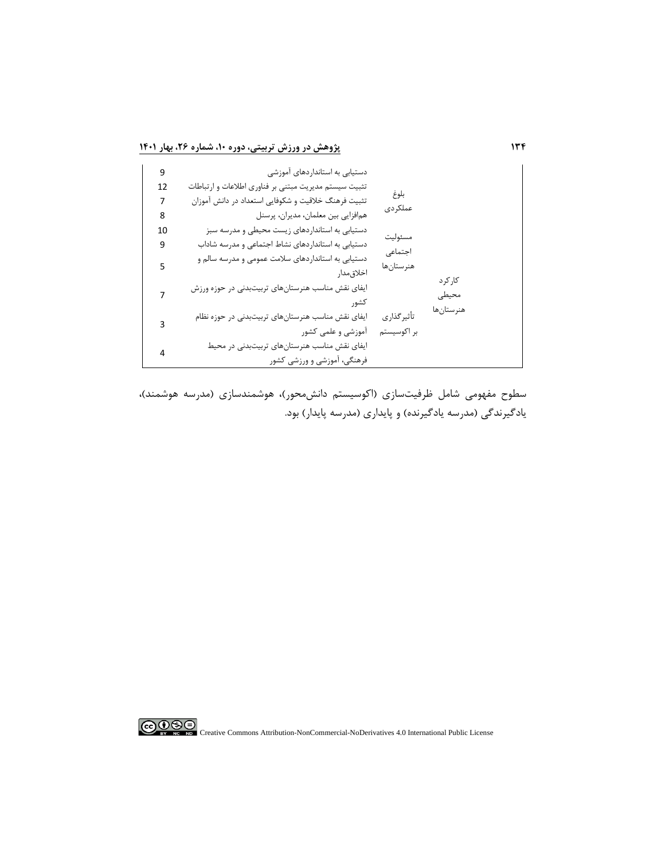# **134 پژوهش در ورزش تربیتی، دوره ،10 شماره ،26 بهار 1401**

| 9  | دستیابی به استانداردهای آموزشی                        |             |             |  |
|----|-------------------------------------------------------|-------------|-------------|--|
| 12 | تثبيت سيستم مديريت مبتنى بر فناورى اطلاعات و ارتباطات | بلوغ        |             |  |
| 7  | تثبیت فرهنگ خلاقیت و شکوفایی استعداد در دانش آموزان   | عملکر دی    |             |  |
| 8  | همافزایی بین معلمان، مدیران، پرسنل                    |             |             |  |
| 10 | دستیابی به استانداردهای زیست محیطی و مدرسه سبز        | مسئوليت     |             |  |
| 9  | دستیابی به استانداردهای نشاط اجتماعی و مدرسه شاداب    | اجتماعى     |             |  |
| 5  | دستیابی به استانداردهای سلامت عمومی و مدرسه سالم و    | هنرستان ها  |             |  |
|    | اخلاق مدار                                            |             | کا, کر د    |  |
|    | ایفای نقش مناسب هنرستانهای تربیتبدنی در حوزه ورزش     |             | محيطى       |  |
|    | کشو,                                                  |             | هنر ستان ها |  |
| 3  | ایفای نقش مناسب هنرستانهای تربیتبدنی در حوزه نظام     | تأثير گذاري |             |  |
|    | ۔ آموزشی و علمی کشور                                  | بر اکوسیستم |             |  |
| 4  | ایفای نقش مناسب هنرستانهای تربیتبدنی در محیط          |             |             |  |
|    | فرهنگی، آموزشی و ورزشی کشور                           |             |             |  |

سطوح مفهومی شامل ظرفیتسازی (اکوسیستم دانشمحور)، هوشمندسازی (مدرسه هوشمند)، یادگیرندگی (مدرسه یادگیرنده) و پایداری (مدرسه پایدار) بود.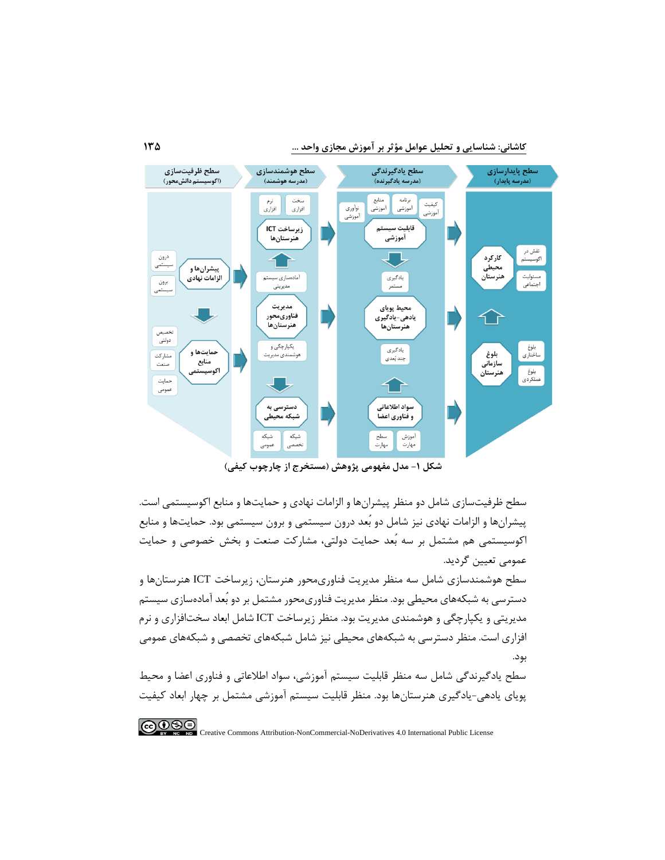

**شکل -1 مدل مفهومی پژوهش )مستخرج از چارچوب کیفی(** 

سطح ظرفیتسازی شامل دو منظر پیشران ها و الزامات نهادی و حمایتها و منابع اکوسیستمی است. پیشران ها و الزامات نهادی نیز شامل دو بُعد درون سیستمی و برون سیستمی بود. حمایتها و منابع اکوسیستمی هم مشتمل بر سه بُعد حمایت دولتی، مشارکت صنعت و بخش خصوصی و حمایت عمومی تعیین گردید.

سطح هوشمندسازی شامل سه منظر مدیریت فناوریمحور هنرستان، زیرساخت ICT هنرستانها و دسترسی به شبکههای محیطی بود. منظر مدیریت فناوریمحور مشتمل بر دو بُعد آمادهسازی سیستم مدیریتی و یکپارچگی و هوشمندی مدیریت بود. منظر زیرساخت ICT شامل ابعاد سختافزاری و نرم افزاری است. منظر دسترسی به شبکه های محیطی نیز شامل شبکههای تخصصی و شبکههای عمومی بود.

سطح یادگیرندگی شامل سه منظر قابلیت سیستم آموزشی، سواد اطالعاتی و فناوری اعضا و محیط پویای یادهی- یادگیری هنرستانها بود. منظر قابلیت سیستم آموزشی مشتمل بر چهار ابعاد کیفیت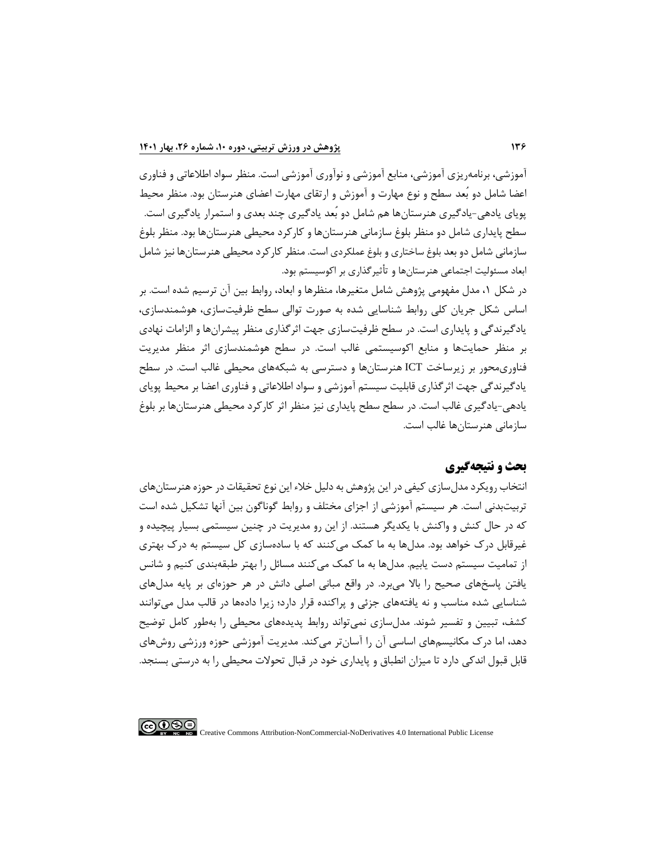آموزشی، برنامهریزی آموزشی، منابع آموزشی و نوآوری آموزشی است. منظر سواد اطالعاتی و فناوری اعضا شامل دو بُعد سطح و نوع مهارت و آموزش و ارتقای مهارت اعضای هنرستان بود. منظر محیط پویای یادهی -یادگیری هنرستانها هم شامل دو بُعد یادگیری چند بعدی و استمرار یادگیری است. سطح پایداری شامل دو منظر بلوغ سازمانی هنرستانها و کارکرد محیطی هنرستانها بود. منظر بلوغ سازمانی شامل دو بعد بلوغ ساختاری و بلوغ عملکردی است. منظر کارکرد محیطی هنرستانها نیز شامل ابعاد مسئولیت اجتماعی هنرستانها و تأثیرگذاری بر اکوسیستم بود.

در شکل ،1 مدل مفهومی پژوهش شامل متغیرها، منظرها و ابعاد، روابط بین آن ترسیم شده است. بر اساس شکل جریان کلی روابط شناسایی شده به صورت توالی سطح ظرفیتسازی، هوشمندسازی، یادگیرندگی و پایداری است. در سطح ظرفیتسازی جهت اثرگذاری منظر پیشران ها و الزامات نهادی بر منظر حمایت ها و منابع اکوسیستمی غالب است. در سطح هوشمندسازی اثر منظر مدیریت فناوریمحور بر زیرساخت ICT هنرستان ها و دسترسی به شبکههای محیطی غالب است. در سطح یادگیرندگی جهت اثرگذاری قابلیت سیستم آموزشی و سواد اطالعاتی و فناوری اعضا بر محیط پویای یادهی-یادگیری غالب است. در سطح سطح پایداری نیز منظر اثر کارکرد محیطی هنرستانها بر بلوغ سازمانی هنرستانها غالب است.

# **بحث و نتیجهگیری**

انتخاب رویکرد مدلسازی کیفی در این پژوهش به دلیل خالء این نوع تحقیقات در حوزه هنرستانهای تربیتبدنی است. هر سیستم آموزشی از اجزای مختلف و روابط گوناگون بین آنها تشکیل شده است که در حال کنش و واکنش با یکدیگر هستند. از این رو مدیریت در چنین سیستمی بسیار پیچیده و غیرقابل درک خواهد بود. مدلها به ما کمک میکنند که با سادهسازی کل سیستم به درک بهتری از تمامیت سیستم دست یابیم. مدلها به ما کمک می کنند مسائل را بهتر طبقهبندی کنیم و شانس یافتن پاسخهای صحیح را باال میبرد. در واقع مبانی اصلی دانش در هر حوزهای بر پایه مدلهای شناسایی شده مناسب و نه یافتههای جزئی و پراکنده قرار دارد؛ زیرا دادهها در قالب مدل میتوانند کشف، تبیین و تفسیر شوند. مدلسازی نمیتواند روابط پدیدههای محیطی را بهطور کامل توضیح دهد، اما درک مکانیسمهای اساسی آن را آسانتر می کند. مدیریت آموزشی حوزه ورزشی روشهای قابل قبول اندکی دارد تا میزان انطباق و پایداری خود در قبال تحوالت محیطی را به درستی بسنجد.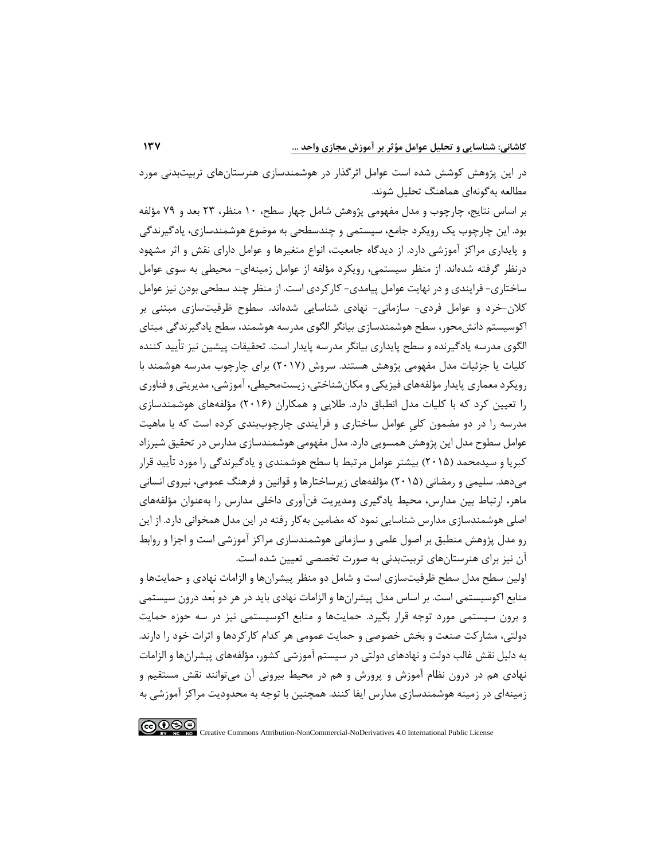در این پژوهش کوشش شده است عوامل اثرگذار در هوشمندسازی هنرستانهای تربیتبدنی مورد مطالعه بهگونهای هماهنگ تحلیل شوند.

بر اساس نتایج، چارچوب و مدل مفهومی پژوهش شامل چهار سطح، 10 منظر، 23 بعد و 79 مؤلفه بود. این چارچوب یک رویکرد جامع، سیستمی و چندسطحی به موضوع هوشمندسازی، یادگیرندگی و پایداری مراکز آموزشی دارد. از دیدگاه جامعیت، انواع متغیرها و عوامل دارای نقش و اثر مشهود درنظر گرفته شدهاند. از منظر سیستمی، رویکرد مؤلفه از عوامل زمینهای- محیطی به سوی ع وامل ساختاری- فرایندی و در نهایت عوامل پیامدی- کارکردی است. از منظر چند سطحی بودن نیز عوامل کلان-خرد و عوامل فردی- سازمانی- نهادی شناسایی شدهاند. سطوح ظرفیتسازی مبتنی بر اکوسیستم دانشمحور، سطح هوشمندسازی بیانگر الگوی مدرسه هوشمند، سطح یادگیرندگی مبنای الگوی مدرسه یادگیرنده و سطح پایداری بیانگر مدرسه پایدار است. تحقیقات پیشین نیز تأیید کننده کلیات یا جزئیات مدل مفهومی پژوهش هستند. سروش )2017( برای چارچوب مدرسه هوشمند با رویکرد معماری پایدار مؤلفههای فیزیکی و مکانشناختی، زیستمحیطی، آموزشی، مدیریتی و فناوری را تعیین کرد که با کلیات مدل انطباق دارد. طالیی و همکاران )2016( مؤلفههای هوشمندسازی مدرسه را در دو مضمون کلیِ عوامل ساختاری و فرآیندی چارچوببندی کرده است که با ماهیت عوامل سطوح مدل این پژوهش همسویی دارد. مدل مفهومی هوشمندسازی مدارس در تحقیق شیرزاد کبریا و سیدمحمد )2015( بیشتر عوامل مرتبط با سطح هوشمندی و یادگیرندگی را مورد تأیید قرار میدهد. سلیمی و رمضانی )2015( مؤلفه های زیرساختارها و قوانین و فرهنگ عمومی، نیروی انسانی ماهر، ارتباط بین مدارس، محیط یادگیری ومدیریت فنآوری داخلی مدارس را به عنوان مؤلفه های اصلی هوشمندسازی مدارس شناسایی نمود که مضامین بهکار رفته در این مدل همخوانی دارد. از این رو مدل پژوهش منطبق بر اصول علمی و سازمانی هوشمندسازی مراکز آموزشی است و اجزا و روابط آن نیز برای هنرستانهای تربیتبدنی به صورت تخصصی تعیین شده است.

اولین سطح مدل سطح ظرفیتسازی است و شامل دو منظر پیشران ها و الزامات نهادی و حمایتها و منابع اکوسیستمی است. بر اساس مدل پیشران ها و الزامات نهادی باید در هر دو بُعد درون سیستمی و برون سیستمی مورد توجه قرار بگیرد. حمایتها و منابع اکوسیستمی نیز در سه حوزه حمایت دولتی، مشارکت صنعت و بخش خصوصی و حمایت عمومی هر کدام کارکردها و اثرات خود را دارند. به دلیل نقش غالب دولت و نهادهای دولتی در سیستم آموزشی کشور، مؤلفههای پیشرانها و الزامات نهادی هم در درون نظام آموزش و پرورش و هم در محیط بیرونی آن میتوانند نقش مستقیم و زمینهای در زمینه هوشمندسازی مدارس ایفا کنند. همچنین با توجه به محدودیت مراکز آموزشی به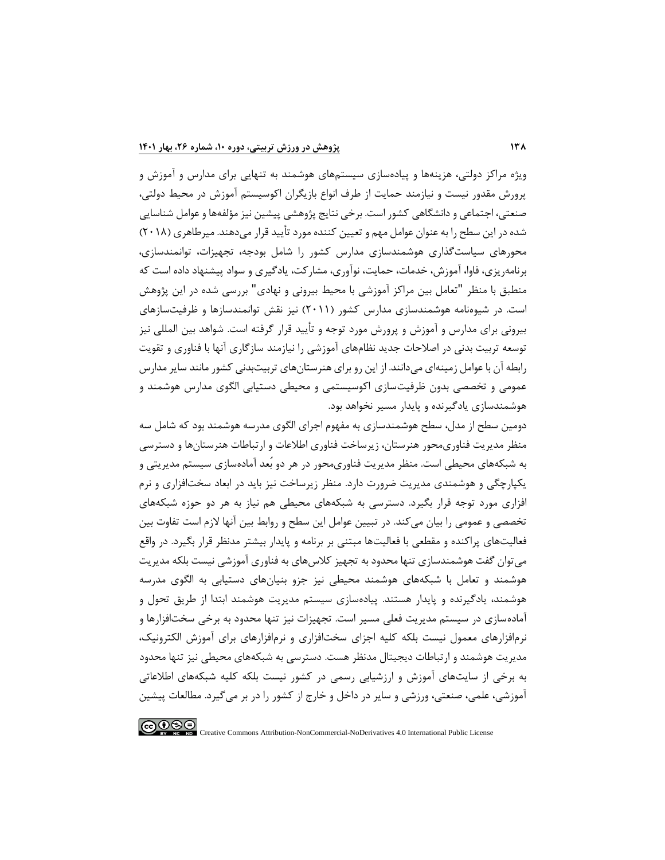ویژه مراکز دولتی، هزینهها و پیادهسازی سیستمهای هوشمند به تنهایی برای مدارس و آموزش و پرورش مقدور نیست و نیازمند حمایت از طرف انواع بازیگران اکوسیستم آموزش در محیط دولتی، صنعتی، اجتماعی و دانشگاهی کشور است. برخی نتایج پژوهشی پیشین نیز مؤلفهها و عوامل شناسایی شده در این سطح را به عنوان عوامل مهم و تعیین کننده مورد تأیید قرار میدهند. میرطاهری )2018( محورهای سیاستگذاری هوشمندسازی مدارس کشور را شامل بودجه، تجهیزات، توانمندسازی، برنامهریزی، فاوا، آموزش، خدمات، حمایت، نوآوری، مشارکت، یادگیری و سواد پیشنهاد داده است که منطبق با منظر "تعامل بین مراکز آموزشی با محیط بیرونی و نهادی" بررسی شده در این پژوهش است. در شیوهنامه هوشمندسازی مدارس کشور )2011( نیز نقش توانمندسازها و ظرفیتسازهای بیرونی برای مدارس و آموزش و پرورش مورد توجه و تأیید قرار گر فته است. شواهد بین المللی نیز توسعه تربیت بدنی در اصالحات جدید نظام های آموزشی را نیازمند سازگاری آنها با فناوری و تقویت رابطه آن با عوامل زمینهای میدانند. از این رو برای هنرستانهای تربیتبدنی کشور مانند سایر مدارس عمومی و تخصصی بدون ظرفیت سازی اکوسیستمی و محیطی دستیابی الگوی مدارس هوشمند و هوشمندسازی یادگیرنده و پایدار مسیر نخواهد بود.

دومین سطح از مدل، سطح هوشمندسازی به مفهوم اجرای الگوی مدرسه هوشمند بود که شامل سه منظر مدیریت فناوریمحور هنرستان، زیرساخت فناوری اطالعات و ارتباطات هنرستانها و دسترسی به شبکه های محیطی است. منظر مدیریت فناوریمحور در هر دو بُعد آمادهسازی سیستم مدیریتی و یکپارچگی و هوشمندی مدیریت ضرورت دارد. منظر زیرساخت نیز باید در ابعاد سختافزاری و نرم افزاری مورد توجه قرار بگیرد. دسترسی به شبکههای محیطی هم نیاز به هر دو حوزه شبکههای تخصصی و عمومی را بیان میکند . در تبیین عوامل این سطح و روابط بین آنها الزم است تفاوت بین فعالیتهای پراکنده و مقطعی با فعالیتها مبتنی بر برنامه و پایدار بیشتر مدنظر قرار بگیرد. در واقع میتوان گفت هوشمندسازی تنها محدود به تجهیز کالسهای به فناوری آموزشی نیست بلکه مدیریت هوشمند و تعامل با شبکههای هوشمند محیطی نیز جزو بنیانهای دستیابی به الگوی مدرسه هوشمند، یادگیرنده و پایدار هستند. پیادهسازی سیستم مدیریت هوشمند ابتدا از طریق تحول و آمادهسازی در سیستم مدیریت فعلی مسیر است. تجهیزات نیز تنها محدود به برخی سختافزارها و نرمافزارهای معمول نیست بلکه کلیه اجزای سختافزاری و نرمافزارهای برای آموزش الکترونیک، مدیریت هوشمند و ارتباطات دیجیتال مدنظر هست. دسترسی به شبکههای محیطی نیز تنها محدود به برخی از سایت های آموزش و ارزشیابی رسمی در کشور نیست بلکه کلیه شبکههای اطلاعاتی آموزشی، علمی، صنعتی، ورزشی و سایر در داخل و خارج از کشور را در بر میگیرد. مطالعات پیشین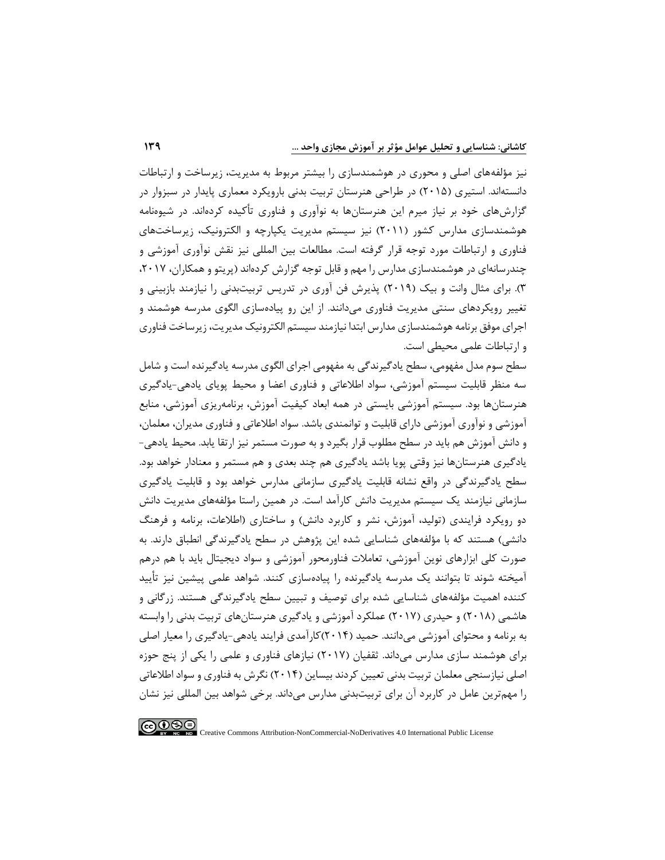نیز مؤلفههای اصلی و محوری در هوشمندسازی را بیشتر مربوط به مدیریت، زیرساخت و ارتباطات دانستهاند. استیری )2015( در طراحی هنرستان تربیت بدنی بارویکرد معماری پایدار در سبزوار در گزارشهای خود بر نیاز میرم این هنرستانها به نوآوری و فناوری تأکیده کردهاند. در شیوهنامه هوشمندسازی مدارس کشور )2011( نیز سیستم مدیریت یکپارچه و الکترونیک، زیرساختهای فناوری و ارتباطات مورد توجه قرار گرفته است. مطالعات بین المللی نیز نقش نوآوری آموزشی و چندرسانهای در هوشمندسازی مدارس را مهم و قابل توجه گزارش کردهاند (پریتو و همکاران، ۲۰۱۷، 3(. برای مثال وانت و بیک )2019( پذیرش فن آوری در تدریس تربیتبدنی را نیازمند بازبینی و تغییر رویکردهای سنتی مدیریت فناوری میدانند. از این رو پیاده سازی الگوی مدرسه هوشمند و اجرای موفق برنامه هوشمندسازی مدارس ابتدا نیازمند سیستم الکترونیک مدیریت، زیرساخت فناوری و ارتباطات علمی محیطی است.

سطح سوم مدل مفهومی، سطح یادگیرندگی به مفهومی اجرای الگوی مدرسه یادگیرنده است و شامل سه منظر قابلیت سیستم آموزشی، سواد اطالعاتی و فناوری اعضا و محیط پویای یادهی-یادگیری هنرستانها بود. سیستم آموزشی بایستی در همه ابعاد کیفیت آموزش، برنامهریزی آموزشی، منابع آموزشی و نوآوری آموزشی دارای قابلیت و توانمندی باشد. سواد اطالعاتی و فناوری مدیران، معلمان، و دانش آموزش هم باید در سطح مطلوب قرار بگیرد و به صورت مستمر نیز ارتقا یابد. محیط یادهی- یادگیری هنرستانها نیز وقتی پویا باشد یادگیری هم چند بعدی و هم مستمر و معنادار خواهد بود. سطح یادگیرندگی در واقع نشانه قابلیت یادگیری سازمانی مدارس خواهد بود و قابلیت یادگیری سازمانی نیازمند یک سیستم مدیریت دانش کارآمد است. در همین راستا مؤلفههای مدیریت دانش دو رویکرد فرایندی (تولید، آموزش، نشر و کاربرد دانش) و ساختاری (اطلاعات، برنامه و فرهنگ دانشی) هستند که با مؤلفههای شناسایی شده این پژوهش در سطح یادگیرندگی انطباق دارند. به صورت کلی ابزارهای نوین آموزشی، تعامالت فناورمحور آموزشی و سواد دیجیتال باید با هم درهم آمیخته شوند تا بتوانند یک مدرسه یادگیرنده را پیادهسازی کنند. شواهد علمی پیشین نیز تأیید کننده اهمیت مؤلفههای شناسایی شده برای توصیف و تبیین سطح یادگیرندگی هستند. زرگانی و هاشمی )2018( و حیدری )2017( عملکرد آموزشی و یادگیری هنرستان های تربیت بدنی را وابسته به برنامه و محتوای آموزشی میدانند. حمید )2014(کارآمدی فرایند یادهی-یادگیری را معیار اصلی برای هوشمند سازی مدارس میداند. ثقفیان )2017( نیازهای فناوری و علمی را یکی از پنج حوزه اصلی نیازسنجی معلمان تربیت بدنی تعیین کردند بیساین )2014( نگرش به فناوری و سواد اطالعاتی را مهمترین عامل در کاربرد آن برای تربیتبدنی مدارس میداند. برخی شواهد بین المللی نیز نشان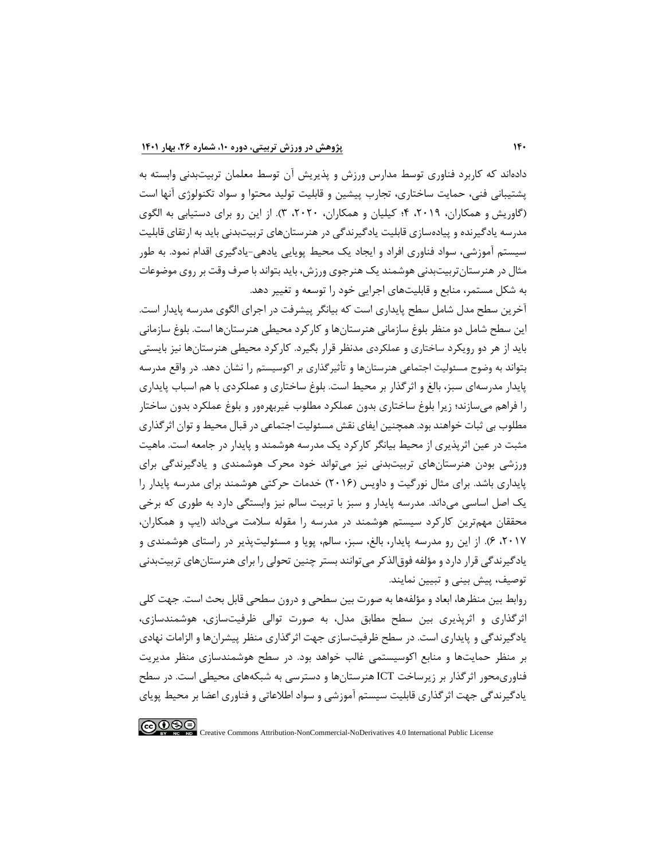دادهاند که کاربرد فناوری توسط مدارس ورزش و پذیریش آن توسط معلمان تربیتبدنی وابسته به پشتیبانی فنی، حمایت ساختاری، تجارب پیشین و قابلیت تولید محتوا و سواد تکنولوژی آنها است (گاوریش و همکاران، ۲۰۱۹، ۴؛ کیلیان و همکاران، ۲۰۲۰، ۳). از این رو برای دستیابی به الگوی مدرسه یادگیرنده و پیادهسازی قابلیت یادگیرندگی در هنرستانهای تربیتبدنی باید به ارتقای قابلیت سیستم آموزشی، سواد فناوری افراد و ایجاد یک محیط پویایی یادهی-یادگیری اقدام نمود. به طور مثال در هنرستانتربیتبدنی هوشمند یک هنرجوی ورزش، باید بتواند با صرف وقت بر روی موضوعات به شکل مستمر، منابع و قابلیتهای اجرایی خود را توسعه و تغییر دهد.

آخرین سطح مدل شامل سطح پایداری است که بیانگر پیشرفت در اجرای الگوی مدرسه پایدار است. این سطح شامل دو منظر بلوغ سازمانی هنرستانها و کارکرد محیطی هنرستانها است. بلوغ سازمانی باید از هر دو رویکرد ساختاری و عملکردی مدنظر قرار بگیرد. کارکرد محیطی هنرستانها نیز بایستی بتواند به وضوح مسئولیت اجتماعی هنرستانها و تأثیرگذاری بر اکوسیستم را نشان دهد. در واقع مدرسه پایدار مدرسهای سبز، بالغ و اثرگذار بر محیط است. بلوغ ساختاری و عملکردی با هم اسباب پایداری را فراهم میسازند؛ زیرا بلوغ ساختاری بدون عملکرد مطلوب غیربهرهور و بلوغ عملکرد بدون ساختار مطلوب بی ثبات خواهند بود. همچنین ایفای نقش مسئولیت اجتماعی در قبال محیط و توان اثرگذاری مثبت در عین اثرپذیری از محیط بیانگر کارکرد یک مدرسه هوشمند و پایدار در جامعه است. ماهیت ورزشی بودن هنرستانهای تربیتبدنی نیز میتواند خود محرک هوشمندی و یادگیرندگی برای پایداری باشد. برای مثال نورگیت و داویس )2016( خدمات حرکتی هوشمند برای مدرسه پایدار را یک اصل اساسی میداند. مدرسه پایدار و سبز با تربیت سالم نیز وابستگی دارد به طوری که برخی محققان مهمترین کارکرد سیستم هوشمند در مدرسه را مقوله سالمت میداند )ایپ و همکاران، ،2017 6(. از این رو مدرسه پایدار، بالغ، سبز، سالم، پویا و مسئولیتپذیر در راستای هوشمندی و یادگیرندگی قرار دارد و مؤلفه فوق الذکر میتوانند بستر چنین تحولی را برای هنرستانهای تربیتبدنی توصیف، پیش بینی و تبیین نمایند.

روابط بین منظرها، ابعاد و مؤلفهها به صورت بین سطحی و درون سطحی قابل بحث است. جهت کلی اثرگذاری و اثرپذیری بین سطح مطابق مدل، به صورت توالی ظرفیتسازی، هوشمندسازی، یادگیرندگی و پایداری است. در سطح ظرفیتسازی جهت اثرگذاری منظر پیشران ها و الزامات نهادی بر منظر حمایتها و منابع اکوسیستمی غالب خواهد بود. در سطح هوشمندسازی منظر مدیریت فناوریمحور اثرگذار بر زیرساخت ICT هنرستانها و دسترسی به شبکه های محیطی است. در سطح یادگیرندگی جهت اثرگذاری قابلیت سیستم آموزشی و سواد اطالعاتی و فناوری اعضا بر محیط پویای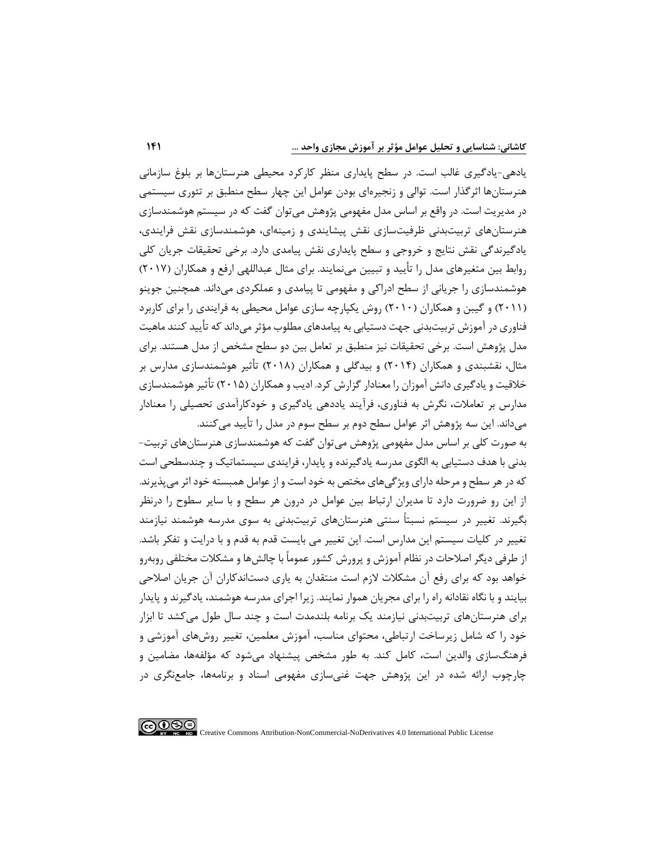یادهی-یادگیری غالب است. در سطح پایداری منظر کارکرد محیطی هنرستانها بر بلوغ سازمانی هنرستانها اثرگذار است. توالی و زنجیرهای بودن عوامل این چهار سطح منطبق بر تئوری سیستمی در مدیریت است. در واقع بر اساس مدل مفهومی پژوهش میتوان گفت که در سیستم هوشمندسازی هنرستانهای تربیتبدنی ظرفیت سازی نقش پیشایندی و زمینهای، هوشمندسازی نقش فرایندی، یادگیرندگی نقش نتایج و خروجی و سطح پایداری نقش پیامدی دارد. برخی تحقیقات جریان کلی روابط بین متغیرهای مدل را تأیید و تبیین مینمایند. برای مثال عبداللهی ارفع و همکاران )2017( هوشمندسازی را جریانی از سطح ادراکی و مفهومی تا پیامدی و عملکردی میداند. همچنین جوینو )2011( و گیبن و همکاران )2010( روش یکپارچه سازی عوامل محیطی به فرایندی را برای کاربرد فناوری در آموزش تربیتبدنی جهت دستیابی به پیامدهای مطلوب مؤثر میداند که تأیید کنند ماهیت مدل پژوهش است. برخی تحقیقات نیز منطبق بر تعامل بین دو سطح مشخص از مدل هستند. برای مثال، نقشبندی و همکاران (۲۰۱۴) و بیدگلی و همکاران (۲۰۱۸) تأثیر هوشمندسازی مدارس بر خالقیت و یادگیری دانش آموزان را معنادار گزارش کرد. ادیب و همکاران )2015( تأثیر هوشمندسازی مدارس بر تعامالت، نگرش به فناوری، فرآیند یاددهی یادگیری و خودکارآمدی تحصیلی را معنادار میداند. این سه پژوهش اثر عوامل سطح دوم بر سطح سوم در مدل را تأیید میکنند.

به صورت کلی بر اساس مدل مفهومی پژوهش میتوان گفت که هوشمندسازی هنرستانهای تربیت- بدنی با هدف دستیابی به الگوی مدرسه یادگیرنده و پایدار، فرایندی سیستماتیک و چندسطحی است که در هر سطح و مرحله دارای ویژگیهای مختص به خود است و از عوامل همبسته خود اثر میپذیرند. از این رو ضرورت دارد تا مدیران ارتباط بین عوامل در درون هر سطح و با سایر سطوح را درنظر بگیرند. تغییر در سیستم نسبتاً سنتی هنرستانهای تربیتبدنی به سوی مدرسه هوشمند نیازمند تغییر در کلیات سیستم این مدارس است. این تغییر می بایست قدم به قدم و با درایت و تفکر باشد. از طرفی دیگر اصالحات در نظام آموزش و پرورش کشور عموماً با چالشها و مشکالت مختلفی روبهرو خواهد بود که برای رفع آن مشکالت الزم است منتقدان به یاری دستاندکاران آن جریان اصالحی بیایند و با نگاه نقادانه راه را برای مجریان هموار نمایند. زیرا اجرای مدرسه هوشمند، یادگیرند و پایدار برای هنرستانهای تربیتبدنی نیازمند یک برنامه بلندمدت است و چند سال طول میکشد تا ابزار خود را که شامل زیرساخت ارتباطی، محتوای مناسب، آموزش معلمین، تغییر روش های آموزشی و فرهنگسازی والدین است، کامل کند. به طور مشخص پیشنهاد میشود که مؤلفهها، مضامین و چارچوب ارائه شده در این پژوهش جهت غنیسازی مفهومی اسناد و برنامهها، جامعنگری در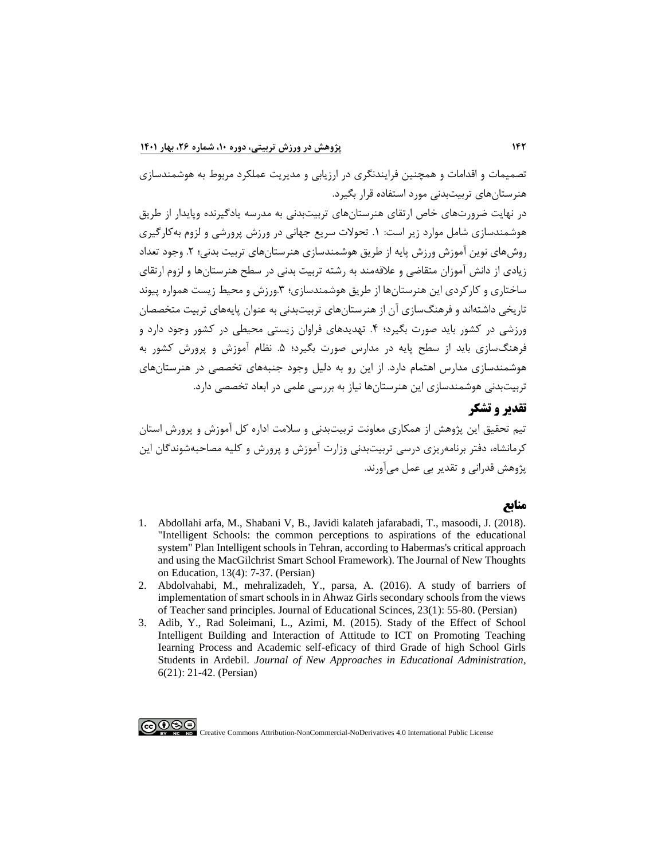تصمیمات و اقدامات و همچنین فرایندنگری در ارزیابی و مدیریت عملکرد مربوط به هوشمندسازی هنرستانهای تربیتبدنی مورد استفاده قرار بگیرد.

در نهایت ضرورتهای خاص ارتقای هنرستانهای تربیتبدنی به مدرسه یادگیرنده وپایدار از طریق هوشمندسازی شامل موارد زیر است: .1 تحوالت سریع جهانی در ورزش پرورشی و لزوم بهکارگیری روشهای نوین آموزش ورزش پایه از طریق هوشمندسازی هنرستان های تربیت بدنی؛ .2 وجود تعداد زیادی از دانش آموزان متقاضی و عالقهمند به رشته تربیت بدنی در سطح هنرستانها و لزوم ارتقای ساختاری و کارکردی این هنرستانها از طریق هوشمندسازی؛ .3ورزش و محیط زیست همواره پیوند تاریخی داشتهاند و فرهنگسازی آن از هنرستانهای تربیتبدنی به عنوان پایههای تربیت متخصصان ورزشی در کشور باید صورت بگیرد؛ ۴. تهدیدهای فراوان زیستی محیطی در کشور وجود دارد و فرهنگسازی باید از سطح پایه در مدارس صورت بگیرد؛ .5 نظام آموزش و پرورش کشور به هوشمندسازی مدارس اهتمام دارد. از این رو به دلیل وجود جنبه های تخصصی در هنرستانهای تربیتبدنی هوشمندسازی این هنرستانها نیاز به بررسی علمی در ابعاد تخصصی دارد.

### **تقدیر و تشکر**

تیم تحقیق این پژوهش از همکاری معاونت تربیتبدنی و سالمت اداره کل آموزش و پرورش استان کرمانشاه، دفتر برنامهریزی درسی تربیتبدنی وزارت آموزش و پرورش و کلیه مصاحبهشوندگان این پژوهش قدرانی و تقدیر بی عمل میآورند.

### **منابع**

- 1. [Abdollahi arfa, M., Shabani V, B., Javidi kalateh jafarabadi, T., masoodi, J. \(2018\).](https://jontoe.alzahra.ac.ir/article_3101_6b00d4d6b35f45ed8e27f759d94c71f2.pdf)  ["Intelligent Schools: the common perceptions to aspirations of the educational](https://jontoe.alzahra.ac.ir/article_3101_6b00d4d6b35f45ed8e27f759d94c71f2.pdf)  system" Plan [Intelligent schools in Tehran, according to Habermas's critical approach](https://jontoe.alzahra.ac.ir/article_3101_6b00d4d6b35f45ed8e27f759d94c71f2.pdf)  and using the MacGilchrist [Smart School Framework\). The Journal of New Thoughts](https://jontoe.alzahra.ac.ir/article_3101_6b00d4d6b35f45ed8e27f759d94c71f2.pdf)  [on Education, 13\(4\):](https://jontoe.alzahra.ac.ir/article_3101_6b00d4d6b35f45ed8e27f759d94c71f2.pdf) 7-37. (Persian)
- 2. [Abdolvahabi, M., mehralizadeh, Y., parsa, A. \(2016\). A study of barriers](http://noavaryedu.oerp.ir/article_78983_8b2fe8a27596289e748d017eccec5286.pdf) of [implementation of smart schools in in Ahwaz Girls secondary schools from the views](http://noavaryedu.oerp.ir/article_78983_8b2fe8a27596289e748d017eccec5286.pdf)  [of Teacher sand principles. Journal of Educational Scinces, 23\(1\):](http://noavaryedu.oerp.ir/article_78983_8b2fe8a27596289e748d017eccec5286.pdf) 55-80. (Persian)
- 3. [Adib, Y., Rad Soleimani, L., Azimi, M. \(2015\). Stady](http://jedu.miau.ac.ir/article_797_2d2b0c057f11c4707009b8a3499353f9.pdf) of the Effect of School [Intelligent Building and Interaction of Attitude to ICT on Promoting Teaching](http://jedu.miau.ac.ir/article_797_2d2b0c057f11c4707009b8a3499353f9.pdf)  [Iearning Process and Academic self-eficacy of third Grade of high School Girls](http://jedu.miau.ac.ir/article_797_2d2b0c057f11c4707009b8a3499353f9.pdf)  Students in Ardebil. *[Journal of New Approaches in Educational Administration,](http://jedu.miau.ac.ir/article_797_2d2b0c057f11c4707009b8a3499353f9.pdf)* 6(21): 21-42. [\(Persian\)](http://jedu.miau.ac.ir/article_797_2d2b0c057f11c4707009b8a3499353f9.pdf)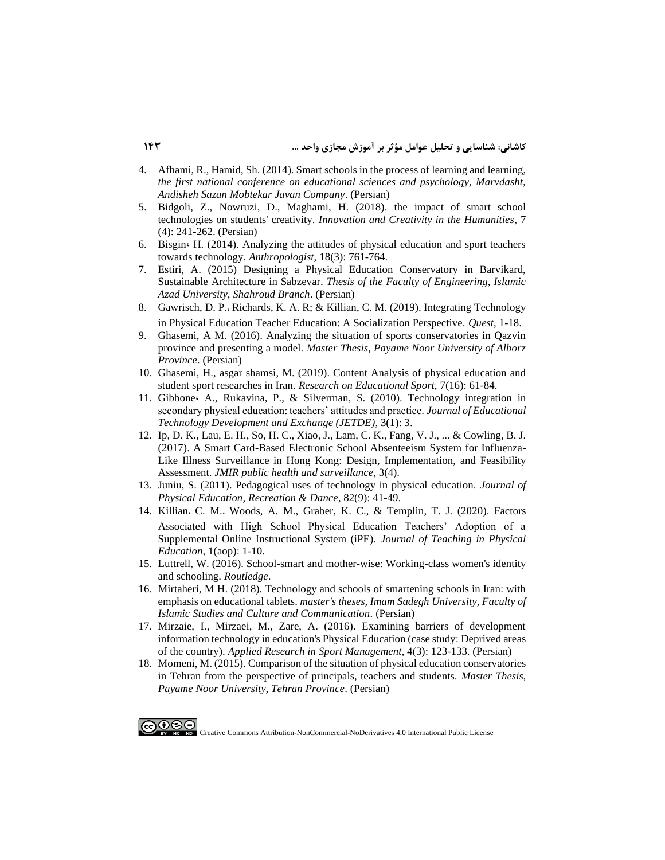- 4. Afhami, R., Hamid, Sh. [\(2014\). Smart schools in the process of learning and learning,](https://civilica.com/doc/338538/)  *[the first national conference on educational sciences and psychology, Marvdasht,](https://civilica.com/doc/338538/)  [Andisheh Sazan Mobtekar Javan Company](https://civilica.com/doc/338538/)*. (Persian)
- 5. [Bidgoli, Z., Nowruzi, D., Maghami, H. \(2018\). the impact of smart school](http://journal.bpj.ir/article_540827_78ce52b7ef00dfc4d009c5fc239cf100.pdf)  technologies on students' creativity. *[Innovation and Creativity in the Humanities](http://journal.bpj.ir/article_540827_78ce52b7ef00dfc4d009c5fc239cf100.pdf)*, 7 (4): 241-262. [\(Persian\)](http://journal.bpj.ir/article_540827_78ce52b7ef00dfc4d009c5fc239cf100.pdf)
- 6. Bisgin  $\epsilon$  H. (2014). Analyzing the attitudes of physical education and sport teachers [towards technology.](https://d1wqtxts1xzle7.cloudfront.net/35788946/T-ANTH-18-3-761-14-1182-Bisgi-H-with-cover-page-v2.pdf?Expires=1652484630&Signature=N609w6X06KWWCaB~6efhTDvZb1~xbb8RDyzyeMQEaqEBkc7JoTp7UbXimNUHdyXg~ARfCZ-TjHj9lvARHC3TLj7Kf2-JH7SXRi9TcGlUx7izzPpLd9Q7LS7Y49LKJGb29fiF5J2u1FKoJjPggZ1o1IwptOisywdFMC~QiLknmqHV5kJjJfb9LYBJqi5S~SV16XeIDZzrydt6no6n4JtHVSAheVDz7YtNjTZ50I4cFoU-~uEp1lf9VbCh9zw-bgAeyKadih8m9ZHIUQoT6TeDkDZpbyBdfd65Aat72MfourevzgoTT9DtO06ame99O1ehHhdfn3KJheVU6l02ykDISw__&Key-Pair-Id=APKAJLOHF5GGSLRBV4ZA) *Anthropologist*, 18(3): 761-764.
- 7. Estiri, A. [\(2015\) Designing a Physical Education Conservatory in Barvikard,](https://ganj.irandoc.ac.ir/#/articles/a48d84777c78e9b31e84418c6ebe503a)  Sustainable Architecture in Sabzevar. *[Thesis of the Faculty of Engineering, Islamic](https://ganj.irandoc.ac.ir/#/articles/a48d84777c78e9b31e84418c6ebe503a)  [Azad University, Shahroud Branch](https://ganj.irandoc.ac.ir/#/articles/a48d84777c78e9b31e84418c6ebe503a)*. (Persian)
- 8. Gawrisch, D. P.، [Richards, K. A. R; & Killian, C. M. \(2019\). Integrating Technology](https://www.tandfonline.com/doi/abs/10.1080/00336297.2019.1685554)  [in Physical Education Teacher Education: A Socialization Perspective.](https://www.tandfonline.com/doi/abs/10.1080/00336297.2019.1685554) *Quest*, 1-18.
- 9. Ghasemi, A M. [\(2016\). Analyzing the situation of sports conservatories in Qazvin](https://ganj.irandoc.ac.ir/#/articles/162e498c4bde719e9b67867d2296c576/search/a7ae28766d3f839abdbab770b1cb7015)  province and presenting a model. *Master Thesis, [Payame Noor University of Alborz](https://ganj.irandoc.ac.ir/#/articles/162e498c4bde719e9b67867d2296c576/search/a7ae28766d3f839abdbab770b1cb7015)  Province*[. \(Persian\)](https://ganj.irandoc.ac.ir/#/articles/162e498c4bde719e9b67867d2296c576/search/a7ae28766d3f839abdbab770b1cb7015)
- 10. [Ghasemi, H., asgar shamsi, M. \(2019\). Content Analysis of physical education and](https://res.ssrc.ac.ir/article_1771_f647827a6fd0fb0116cadb739f34b142.pdf)  [student sport researches in Iran.](https://res.ssrc.ac.ir/article_1771_f647827a6fd0fb0116cadb739f34b142.pdf) *Research on Educational Sport*, 7(16): 61-84.
- 11. Gibbone ، A., Rukavina, P., & Silverman, [S. \(2010\). Technology integration in](https://aquila.usm.edu/cgi/viewcontent.cgi?article=1007&context=jetde)  [secondary physical education: teachers' attitudes and practice.](https://aquila.usm.edu/cgi/viewcontent.cgi?article=1007&context=jetde) *Journal of Educational [Technology Development and Exchange \(JETDE\)](https://aquila.usm.edu/cgi/viewcontent.cgi?article=1007&context=jetde)*, 3(1): 3.
- 12. Ip, D. K., Lau, E. H., So, H. C., Xiao, J., Lam, C. K., Fang, V. J., [... & Cowling,](https://publichealth.jmir.org/2017/4/e67) B. J. [\(2017\). A Smart Card-Based Electronic School Absenteeism System for Influenza-](https://publichealth.jmir.org/2017/4/e67)[Like Illness Surveillance in Hong Kong: Design,](https://publichealth.jmir.org/2017/4/e67) Implementation, and Feasibility Assessment. *[JMIR public health and surveillance](https://publichealth.jmir.org/2017/4/e67)*, 3(4).
- 13. Juniu, [S. \(2011\). Pedagogical uses of technology in physical education.](http://www.montclair.edu/profilepages/media/286/user/PedagogicalUsesofTechnology.pdf) *Journal of Physical Education, [Recreation & Dance](http://www.montclair.edu/profilepages/media/286/user/PedagogicalUsesofTechnology.pdf)*, 82(9): 41-49.
- 14. Killian، C. M.، Woods, A. M., Graber, K. C., & Templin, [T. J. \(2020\). Factors](https://journals.humankinetics.com/view/journals/jtpe/40/1/article-p136.xml?utm_source=TrendMD&utm_medium=cpc&utm_campaign=Journal_of_Teaching_in_Physical_Education_TrendMD_1)  Associated with [High School Physical Education Teachers' Adoption of a](https://journals.humankinetics.com/view/journals/jtpe/40/1/article-p136.xml?utm_source=TrendMD&utm_medium=cpc&utm_campaign=Journal_of_Teaching_in_Physical_Education_TrendMD_1)  [Supplemental Online Instructional System \(iPE\).](https://journals.humankinetics.com/view/journals/jtpe/40/1/article-p136.xml?utm_source=TrendMD&utm_medium=cpc&utm_campaign=Journal_of_Teaching_in_Physical_Education_TrendMD_1) *Journal of Teaching in Physical [Education](https://journals.humankinetics.com/view/journals/jtpe/40/1/article-p136.xml?utm_source=TrendMD&utm_medium=cpc&utm_campaign=Journal_of_Teaching_in_Physical_Education_TrendMD_1)*, 1(aop): 1-10.
- 15. Luttrell, [W. \(2016\). School-smart and mother-wise: Working-class women's identity](https://www.taylorfrancis.com/books/mono/10.4324/9781315865904/school-smart-mother-wise-wendy-luttrell)  [and schooling.](https://www.taylorfrancis.com/books/mono/10.4324/9781315865904/school-smart-mother-wise-wendy-luttrell) *Routledge*.
- 16. Mirtaheri, M H. [\(2018\). Technology and schools of smartening schools in Iran: with](https://ganj.irandoc.ac.ir/#/articles/c89410a1a73b079969ae1a0722a55721/search/c5d25ff8a2d3893d075ea0625fae70ed)  emphasis on educational tablets. *[master's theses, Imam Sadegh University, Faculty of](https://ganj.irandoc.ac.ir/#/articles/c89410a1a73b079969ae1a0722a55721/search/c5d25ff8a2d3893d075ea0625fae70ed)  [Islamic Studies and Culture and Communication](https://ganj.irandoc.ac.ir/#/articles/c89410a1a73b079969ae1a0722a55721/search/c5d25ff8a2d3893d075ea0625fae70ed)*. (Persian)
- 17. [Mirzaie, I., Mirzaei, M., Zare, A. \(2016\). Examining barriers of development](https://arsmb.journals.pnu.ac.ir/article_2476_8bf00d4fb67e2a4e6085abae73e7be0c.pdf)  [information technology in education's Physical Education \(case study: Deprived areas](https://arsmb.journals.pnu.ac.ir/article_2476_8bf00d4fb67e2a4e6085abae73e7be0c.pdf)  of the country). *[Applied Research in Sport Management](https://arsmb.journals.pnu.ac.ir/article_2476_8bf00d4fb67e2a4e6085abae73e7be0c.pdf)*, 4(3): 123-133. (Persian)
- 18. Momeni, M. [\(2015\). Comparison of the situation of physical education conservatories](https://ganj.irandoc.ac.ir/#/articles/10ecd0bbfe8c26fa3171bc5a7740d18c/search/1f969fb321e9b442ce3ce468153e639f)  [in Tehran from the perspective of principals, teachers and students.](https://ganj.irandoc.ac.ir/#/articles/10ecd0bbfe8c26fa3171bc5a7740d18c/search/1f969fb321e9b442ce3ce468153e639f) *Master Thesis, [Payame Noor University, Tehran Province](https://ganj.irandoc.ac.ir/#/articles/10ecd0bbfe8c26fa3171bc5a7740d18c/search/1f969fb321e9b442ce3ce468153e639f)*. (Persian)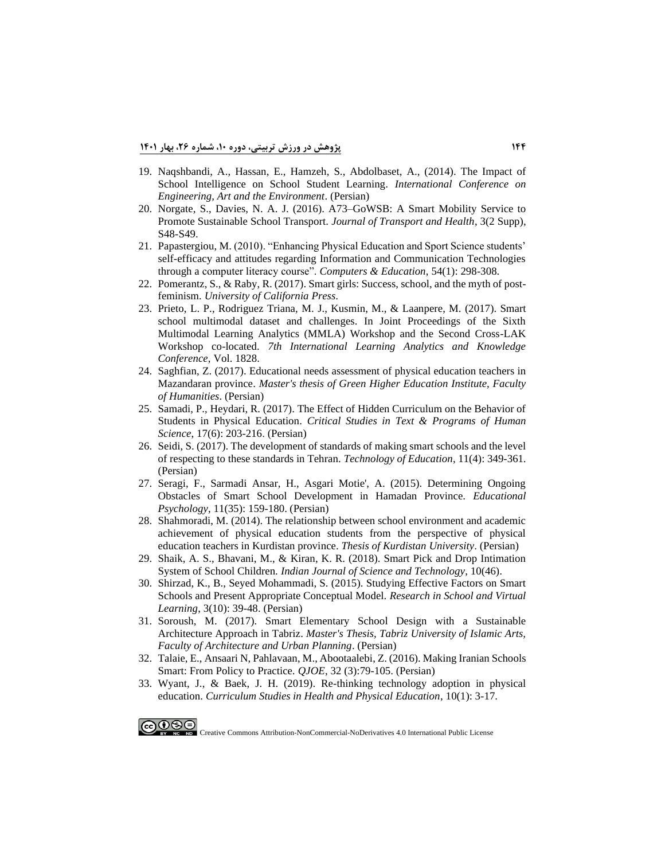- 19. Naqshbandi, A., Hassan, E., Hamzeh, S., Abdolbaset, [A., \(2014\). The Impact of](https://civilica.com/doc/372385/)  [School Intelligence on School Student Learning](https://civilica.com/doc/372385/)*. International Conference on [Engineering, Art and the Environment](https://civilica.com/doc/372385/)*. (Persian)
- 20. Norgate, S., Davies, [N. A. J. \(2016\). A73–GoWSB: A Smart Mobility Service to](https://eprints.lancs.ac.uk/id/eprint/80075/)  [Promote Sustainable School Transport.](https://eprints.lancs.ac.uk/id/eprint/80075/) *Journal of Transport and Health*, 3(2 Supp), [S48-S49.](https://eprints.lancs.ac.uk/id/eprint/80075/)
- 21. Papastergiou, M. [\(2010\). "Enhancing Physical Education and Sport Science students'](https://www.sciencedirect.com/science/article/pii/S0360131509002085)  [self-efficacy and attitudes regarding Information and Communication Technologies](https://www.sciencedirect.com/science/article/pii/S0360131509002085)  [through a computer literacy course".](https://www.sciencedirect.com/science/article/pii/S0360131509002085) *Computers & Education*, 54(1): 298-308.
- 22. Pomerantz, S., & Raby, [R. \(2017\). Smart girls: Success,](https://www.degruyter.com/document/doi/10.1525/9780520959798/pdf) school, and the myth of postfeminism. *[University of California Press](https://www.degruyter.com/document/doi/10.1525/9780520959798/pdf)*.
- 23. Prieto, L. P., [Rodriguez Triana,](https://repositori.upf.edu/bitstream/handle/10230/32769/HernandezLeo_ceu_edit.pdf?sequence=1&isAllowed=y) M. J., Kusmin, M., & Laanpere, M. (2017). Smart [school multimodal dataset and challenges. In Joint Proceedings of the Sixth](https://repositori.upf.edu/bitstream/handle/10230/32769/HernandezLeo_ceu_edit.pdf?sequence=1&isAllowed=y)  [Multimodal Learning Analytics \(MMLA\) Workshop and the Second Cross-LAK](https://repositori.upf.edu/bitstream/handle/10230/32769/HernandezLeo_ceu_edit.pdf?sequence=1&isAllowed=y)  Workshop co-located. *[7th International Learning Analytics and Knowledge](https://repositori.upf.edu/bitstream/handle/10230/32769/HernandezLeo_ceu_edit.pdf?sequence=1&isAllowed=y)  [Conference](https://repositori.upf.edu/bitstream/handle/10230/32769/HernandezLeo_ceu_edit.pdf?sequence=1&isAllowed=y)*, Vol. 1828.
- 24. Saghfian, Z. [\(2017\). Educational needs assessment of physical education teachers in](https://ganj.irandoc.ac.ir/#/articles/b4dccd3639084b6bd6c495157598d162/search/499eda2e00c13c71cb2c58b10e14e747)  Mazandaran province. *[Master's thesis of Green Higher Education Institute, Faculty](https://ganj.irandoc.ac.ir/#/articles/b4dccd3639084b6bd6c495157598d162/search/499eda2e00c13c71cb2c58b10e14e747)  [of Humanities](https://ganj.irandoc.ac.ir/#/articles/b4dccd3639084b6bd6c495157598d162/search/499eda2e00c13c71cb2c58b10e14e747)*. (Persian)
- 25. [Samadi, P., Heydari, R. \(2017\). The Effect of Hidden Curriculum on the Behavior of](https://criticalstudy.ihcs.ac.ir/article_2928_d667ae090cb394a2860f857357515a01.pdf)  Students in Physical Education. *[Critical Studies in Text & Programs of](https://criticalstudy.ihcs.ac.ir/article_2928_d667ae090cb394a2860f857357515a01.pdf) Human Science*, 17(6): 203-216. [\(Persian\)](https://criticalstudy.ihcs.ac.ir/article_2928_d667ae090cb394a2860f857357515a01.pdf)
- 26. [Seidi, S. \(2017\). The development of standards of making smart schools and the level](https://jte.sru.ac.ir/article_684.html)  [of respecting to these standards in Tehran.](https://jte.sru.ac.ir/article_684.html) *Technology of Education*, 11(4): 349-361. [\(Persian\)](https://jte.sru.ac.ir/article_684.html)
- 27. [Seragi, F., Sarmadi Ansar, H., Asgari Motie', A. \(2015\). Determining Ongoing](https://jep.atu.ac.ir/article_1585_40db3dabb5313be3bcac8353af1b1f88.pdf)  [Obstacles of Smart School Development in Hamadan Province.](https://jep.atu.ac.ir/article_1585_40db3dabb5313be3bcac8353af1b1f88.pdf) *Educational Psychology*, 11(35): [159-180. \(Persian\)](https://jep.atu.ac.ir/article_1585_40db3dabb5313be3bcac8353af1b1f88.pdf)
- 28. Shahmoradi, M. [\(2014\). The relationship between school environment and academic](https://ganj.irandoc.ac.ir/#/articles/2f86a3bf52fa45b6150ba1973c18c35a/search/00098e48d062217c887996e2c9b46b7d)  [achievement of physical education students from the perspective of physical](https://ganj.irandoc.ac.ir/#/articles/2f86a3bf52fa45b6150ba1973c18c35a/search/00098e48d062217c887996e2c9b46b7d)  [education teachers in Kurdistan province.](https://ganj.irandoc.ac.ir/#/articles/2f86a3bf52fa45b6150ba1973c18c35a/search/00098e48d062217c887996e2c9b46b7d) *Thesis of Kurdistan University*. (Persian)
- 29. Shaik, A. S., Bhavani, M., & Kiran, [K. R. \(2018\). Smart Pick and Drop Intimation](https://sciresol.s3.us-east-2.amazonaws.com/IJST/Articles/2017/Issue-46/Article4.pdf)  System of School Children. *[Indian Journal of Science and Technology](https://sciresol.s3.us-east-2.amazonaws.com/IJST/Articles/2017/Issue-46/Article4.pdf)*, 10(46).
- 30. Shirzad, [K., B., Seyed Mohammadi, S. \(2015\). Studying Effective Factors on Smart](https://journals.pnu.ac.ir/article_2186_140bbf8ac865bd8ae16ab16a703fe8f0.pdf)  [Schools and Present Appropriate Conceptual Model.](https://journals.pnu.ac.ir/article_2186_140bbf8ac865bd8ae16ab16a703fe8f0.pdf) *Research in School and Virtual Learning*, 3(10): [39-48. \(Persian\)](https://journals.pnu.ac.ir/article_2186_140bbf8ac865bd8ae16ab16a703fe8f0.pdf)
- 31. Soroush, M. [\(2017\). Smart Elementary School Design with a Sustainable](https://ganj.irandoc.ac.ir/#/articles/009d3da84f841019e1eb311722968bc3/search/ff17edccfea09ddb60c202c3c1990bf6)  [Architecture Approach in Tabriz.](https://ganj.irandoc.ac.ir/#/articles/009d3da84f841019e1eb311722968bc3/search/ff17edccfea09ddb60c202c3c1990bf6) *Master's Thesis, Tabriz University of Islamic Arts, [Faculty of Architecture and Urban Planning](https://ganj.irandoc.ac.ir/#/articles/009d3da84f841019e1eb311722968bc3/search/ff17edccfea09ddb60c202c3c1990bf6)*. (Persian)
- 32. Talaie, E., Ansaari N, Pahlavaan, M., Abootaalebi, [Z. \(2016\). Making Iranian Schools](https://qjoe.ir/article-1-133-fa.pdf)  [Smart: From Policy to Practice.](https://qjoe.ir/article-1-133-fa.pdf) *QJOE*, 32 (3):79-105. (Persian)
- 33. Wyant, J., & Baek, [J. H. \(2019\). Re-thinking technology adoption in physical](https://www.researchgate.net/profile/Junhyung-Baek-2/publication/327273261_Re-thinking_technology_adoption_in_physical_education/links/5c0ff031a6fdcc494fed843a/Re-thinking-technology-adoption-in-physical-education.pdf)  education. *[Curriculum Studies in Health and Physical Education](https://www.researchgate.net/profile/Junhyung-Baek-2/publication/327273261_Re-thinking_technology_adoption_in_physical_education/links/5c0ff031a6fdcc494fed843a/Re-thinking-technology-adoption-in-physical-education.pdf)*, 10(1): 3-17.

௵